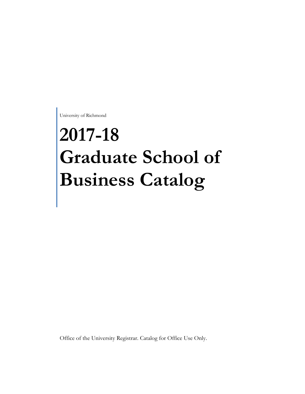University of Richmond

# **2017-18 Graduate School of Business Catalog**

Office of the University Registrar. Catalog for Office Use Only.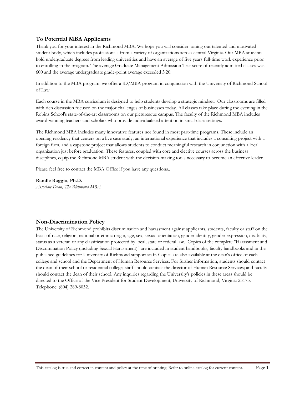# **To Potential MBA Applicants**

Thank you for your interest in the Richmond MBA. We hope you will consider joining our talented and motivated student body, which includes professionals from a variety of organizations across central Virginia. Our MBA students hold undergraduate degrees from leading universities and have an average of five years full-time work experience prior to enrolling in the program. The average Graduate Management Admission Test score of recently admitted classes was 600 and the average undergraduate grade-point average exceeded 3.20.

In addition to the MBA program, we offer a JD/MBA program in conjunction with the University of Richmond School of Law.

Each course in the MBA curriculum is designed to help students develop a strategic mindset. Our classrooms are filled with rich discussion focused on the major challenges of businesses today. All classes take place during the evening in the Robins School's state-of-the-art classrooms on our picturesque campus. The faculty of the Richmond MBA includes award-winning teachers and scholars who provide individualized attention in small-class settings.

The Richmond MBA includes many innovative features not found in most part-time programs. These include an opening residency that centers on a live case study, an international experience that includes a consulting project with a foreign firm, and a capstone project that allows students to conduct meaningful research in conjunction with a local organization just before graduation. These features, coupled with core and elective courses across the business disciplines, equip the Richmond MBA student with the decision-making tools necessary to become an effective leader.

Please feel free to contact the MBA Office if you have any questions..

#### **Randle Raggio, Ph.D.**

*Associate Dean, The Richmond MBA* 

# **Non-Discrimination Policy**

The University of Richmond prohibits discrimination and harassment against applicants, students, faculty or staff on the basis of race, religion, national or ethnic origin, age, sex, sexual orientation, gender identity, gender expression, disability, status as a veteran or any classification protected by local, state or federal law. Copies of the complete "Harassment and Discrimination Policy (including Sexual Harassment)" are included in student handbooks, faculty handbooks and in the published guidelines for University of Richmond support staff. Copies are also available at the dean's office of each college and school and the Department of Human Resource Services. For further information, students should contact the dean of their school or residential college; staff should contact the director of Human Resource Services; and faculty should contact the dean of their school. Any inquiries regarding the University's policies in these areas should be directed to the Office of the Vice President for Student Development, University of Richmond, Virginia 23173. Telephone: (804) 289-8032.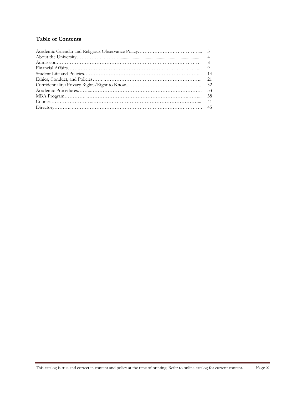# **Table of Contents**

| 33 |
|----|
|    |
|    |
|    |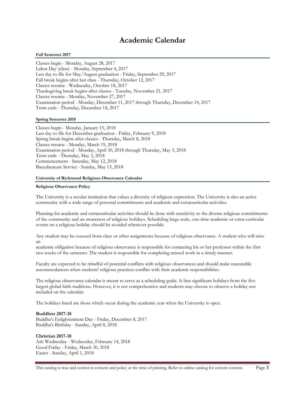# **Academic Calendar**

#### **Fall Semester 2017**

Classes begin - Monday, August 28, 2017 Labor Day (class) - Monday, September 4, 2017 Last day to file for May/August graduation - Friday, September 29, 2017 Fall break begins after last class - Thursday, October 12, 2017 Classes resume - Wednesday, October 18, 2017 Thanksgiving break begins after classes - Tuesday, November 21, 2017 Classes resume - Monday, November 27, 2017 Examination period - Monday, December 11, 2017 through Thursday, December 14, 2017 Term ends - Thursday, December 14, 2017

#### **Spring Semester 2018**

Classes begin - Monday, January 15, 2018 Last day to file for December graduation - Friday, February 9, 2018 Spring break begins after classes - Thursday, March 8, 2018 Classes resume - Monday, March 19, 2018 Examination period - Monday, April 30, 2018 through Thursday, May 3, 2018 Term ends - Thursday, May 3, 2018 Commencement - Saturday, May 12, 2018 Baccalaureate Service - Sunday, May 13, 2018

#### **University of Richmond Religious Observance Calendar**

#### **Religious Observance Policy**

The University is a secular institution that values a diversity of religious expression. The University is also an active community with a wide range of personal commitments and academic and extracurricular activities.

Planning for academic and extracurricular activities should be done with sensitivity to the diverse religious commitments of the community and an awareness of religious holidays. Scheduling large-scale, one-time academic or extra-curricular events on a religious holiday should be avoided whenever possible.

Any student may be excused from class or other assignments because of religious observance. A student who will miss an

academic obligation because of religious observance is responsible for contacting his or her professor within the first two weeks of the semester. The student is responsible for completing missed work in a timely manner.

Faculty are expected to be mindful of potential conflicts with religious observances and should make reasonable accommodations when students' religious practices conflict with their academic responsibilities.

The religious observance calendar is meant to serve as a scheduling guide. It lists significant holidays from the five largest global faith traditions. However, it is not comprehensive and students may choose to observe a holiday not included on the calendar.

The holidays listed are those which occur during the academic year when the University is open.

#### **Buddhist 2017-18**

Buddha's Enlightenment Day - Friday, December 8, 2017 Buddha's Birthday - Sunday, April 8, 2018

#### **Christian 2017-18**

Ash Wednesday - Wednesday, February 14, 2018 Good Friday - Friday, March 30, 2018 Easter - Sunday, April 1, 2018

This catalog is true and correct in content and policy at the time of printing. Refer to online catalog for current content. Page 3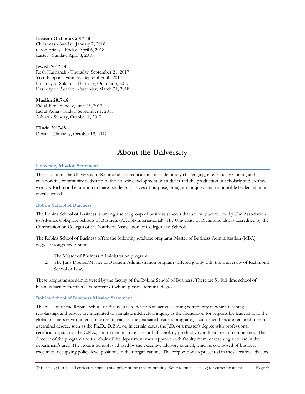# **Eastern Orthodox 2017-18**

Christmas - Sunday, January 7, 2018 Good Friday - Friday, April 6, 2018 Easter - Sunday, April 8, 2018

# **Jewish 2017-18**

Rosh Hashanah - Thursday, September 21, 2017 Yom Kippur - Saturday, September 30, 2017 First day of Sukkot - Thursday, October 5, 2017 First day of Passover - Saturday, March 31, 2018

# **Muslim 2017-18**

Eid al-Fitr - Sunday, June 25, 2017 Eid al-Adha - Friday, September 1, 2017 Ashura - Sunday, October 1, 2017

# **Hindu 2017-18**

Diwali - Thursday, October 19, 2017

# **About the University**

# **University Mission Statement**

The mission of the University of Richmond is to educate in an academically challenging, intellectually vibrant, and collaborative community dedicated to the holistic development of students and the production of scholarly and creative work. A Richmond education prepares students for lives of purpose, thoughtful inquiry, and responsible leadership in a diverse world.

# **Robins School of Business**

The Robins School of Business is among a select group of business schools that are fully accredited by The Association to Advance Collegiate Schools of Business (AACSB International). The University of Richmond also is accredited by the Commission on Colleges of the Southern Association of Colleges and Schools.

The Robins School of Business offers the following graduate programs Master of Business Administration (MBA) degree through two options

- 1. The Master of Business Administration program
- 2. The Juris Doctor/Master of Business Administration program (offered jointly with the University of Richmond School of Law)

These programs are administered by the faculty of the Robins School of Business. There are 51 full-time school of business faculty members, 96 percent of whom possess terminal degrees.

# **Robins School of Business Mission Statement**

The mission of the Robins School of Business is to develop an active learning community in which teaching, scholarship, and service are integrated to stimulate intellectual inquiry as the foundation for responsible leadership in the global business environment. In order to teach in the graduate business programs, faculty members are required to hold a terminal degree, such as the Ph.D., D.B.A. or, in certain cases, the J.D. or a master's degree with professional certification, such as the C.P.A., and to demonstrate a record of scholarly productivity in their area of competency. The director of the program and the chair of the department must approve each faculty member teaching a course in the department's area. The Robins School is advised by the executive advisory council, which is composed of business executives occupying policy-level positions in their organizations. The corporations represented in the executive advisory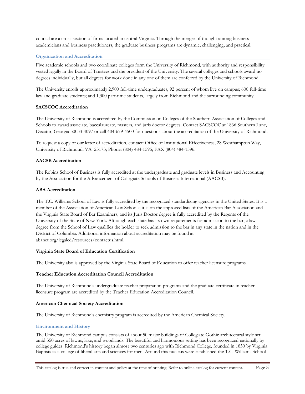council are a cross-section of firms located in central Virginia. Through the merger of thought among business academicians and business practitioners, the graduate business programs are dynamic, challenging, and practical.

# **Organization and Accreditation**

Five academic schools and two coordinate colleges form the University of Richmond, with authority and responsibility vested legally in the Board of Trustees and the president of the University. The several colleges and schools award no degrees individually, but all degrees for work done in any one of them are conferred by the University of Richmond.

The University enrolls approximately 2,900 full-time undergraduates, 92 percent of whom live on campus; 600 full-time law and graduate students; and 1,300 part-time students, largely from Richmond and the surrounding community.

# **SACSCOC Accreditation**

The University of Richmond is accredited by the Commission on Colleges of the Southern Association of Colleges and Schools to award associate, baccalaureate, masters, and juris doctor degrees. Contact SACSCOC at 1866 Southern Lane, Decatur, Georgia 30033-4097 or call 404-679-4500 for questions about the accreditation of the University of Richmond.

To request a copy of our letter of accreditation, contact: Office of Institutional Effectiveness, 28 Westhampton Way, University of Richmond, VA 23173; Phone: (804) 484-1595; FAX (804) 484-1596.

#### **AACSB Accreditation**

The Robins School of Business is fully accredited at the undergraduate and graduate levels in Business and Accounting by the Association for the Advancement of Collegiate Schools of Business International (AACSB).

#### **ABA Accreditation**

The T.C. Williams School of Law is fully accredited by the recognized standardizing agencies in the United States. It is a member of the Association of American Law Schools; it is on the approved lists of the American Bar Association and the Virginia State Board of Bar Examiners; and its Juris Doctor degree is fully accredited by the Regents of the University of the State of New York. Although each state has its own requirements for admission to the bar, a law degree from the School of Law qualifies the holder to seek admission to the bar in any state in the nation and in the District of Columbia. Additional information about accreditation may be found at abanet.org/legaled/resources/contactus.html.

#### **Virginia State Board of Education Certification**

The University also is approved by the Virginia State Board of Education to offer teacher licensure programs.

#### **Teacher Education Accreditation Council Accreditation**

The University of Richmond's undergraduate teacher preparation programs and the graduate certificate in teacher licensure program are accredited by the Teacher Education Accreditation Council.

#### **American Chemical Society Accreditation**

The University of Richmond's chemistry program is accredited by the American Chemical Society.

# **Environment and History**

The University of Richmond campus consists of about 50 major buildings of Collegiate Gothic architectural style set amid 350 acres of lawns, lake, and woodlands. The beautiful and harmonious setting has been recognized nationally by college guides. Richmond's history began almost two centuries ago with Richmond College, founded in 1830 by Virginia Baptists as a college of liberal arts and sciences for men. Around this nucleus were established the T.C. Williams School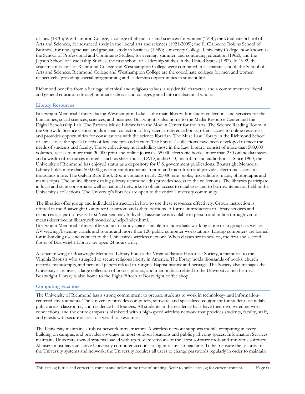of Law (1870); Westhampton College, a college of liberal arts and sciences for women (1914); the Graduate School of Arts and Sciences, for advanced study in the liberal arts and sciences (1921-2009); the E. Claiborne Robins School of Business, for undergraduate and graduate study in business (1949); University College, University College, now known as the School of Professional and Continuing Studies, for evening, summer, and continuing education (1962); and the Jepson School of Leadership Studies, the first school of leadership studies in the United States (1992). In 1992, the academic missions of Richmond College and Westhampton College were combined in a separate school, the School of Arts and Sciences. Richmond College and Westhampton College are the coordinate colleges for men and women respectively, providing special programming and leadership opportunities in student life.

Richmond benefits from a heritage of ethical and religious values, a residential character, and a commitment to liberal and general education through intimate schools and colleges joined into a substantial whole.

#### **Library Resources**

Boatwright Memorial Library, facing Westhampton Lake, is the main library. It includes collections and services for the humanities, social sciences, sciences, and business. Boatwright is also home to the Media Resource Center and the Digital Scholarship Lab. The Parsons Music Library is in the Modlin Center for the Arts. The Science Reading Room in the Gottwald Science Center holds a small collection of key science reference books, offers access to online resources, and provides opportunities for consultations with the science librarian. The Muse Law Library in the Richmond School of Law serves the special needs of law students and faculty. The libraries' collections have been developed to meet the needs of students and faculty. Those collections, not including those in the Law Library, consist of more than 500,000 volumes, access to more than 30,000 print and online journals, 65,000 electronic books, more than 230 online databases and a wealth of resources in media such as sheet music, DVD, audio CD, microfilm and audio books. Since 1900, the University of Richmond has enjoyed status as a depository for U.S. government publications. Boatwright Memorial Library holds more than 500,000 government documents in print and microform and provides electronic access to thousands more. The Galvin Rare Book Room contains nearly 25,000 rare books, first editions, maps, photographs and manuscripts. The online library catalog (library.richmond.edu) provides access to the collections. The libraries participate in local and state consortia as well as national networks to obtain access to databases and to borrow items not held in the University's collections. The University's libraries are open to the entire University community.

The libraries offer group and individual instruction in how to use these resources effectively. Group instruction is offered in the Boatwright Computer Classroom and other locations. A formal introduction to library services and resources is a part of every First Year seminar. Individual assistance is available in person and online through various means described at library.richmond.edu/help/index.html.

Boatwright Memorial Library offers a mix of study space suitable for individuals working alone or in groups as well as AV viewing/listening carrels and rooms and more than 120 public computer workstations. Laptop computers are loaned for in-building use and connect to the University's wireless network. When classes are in session, the first and second floors of Boatwright Library are open 24 hours a day.

A separate wing of Boatwright Memorial Library houses the Virginia Baptist Historical Society, a memorial to the Virginia Baptists who struggled to secure religious liberty in America. The library holds thousands of books, church records, manuscripts, and personal papers related to Virginia Baptist history and heritage. The Society also manages the University's archives, a large collection of books, photos, and memorabilia related to the University's rich history. Boatwright Library is also home to the Eight Fifteen at Boatwright coffee shop.

#### **Computing Facilities**

The University of Richmond has a strong commitment to prepare students to work in technology- and informationcentered environments. The University provides computers, software, and specialized equipment for student use in labs, public areas, classrooms, and residence hall lounges. All students in the residence halls have their own wired network connections, and the entire campus is blanketed with a high-speed wireless network that provides students, faculty, staff, and guests with secure access to a wealth of resources.

The University maintains a robust network infrastructure. A wireless network supports mobile computing in every building on campus, and provides coverage in most outdoor locations and public gathering spaces. Information Services maintains University-owned systems loaded with up-to-date versions of the latest software tools and anti-virus software. All users must have an active University computer account to log into any lab machine. To help ensure the security of the University systems and network, the University requires all users to change passwords regularly in order to maintain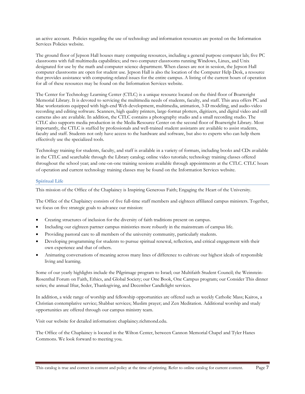an active account. Policies regarding the use of technology and information resources are posted on the Information Services Policies website.

The ground floor of Jepson Hall houses many computing resources, including a general purpose computer lab; five PC classrooms with full multimedia capabilities; and two computer classrooms running Windows, Linux, and Unix designated for use by the math and computer science department. When classes are not in session, the Jepson Hall computer classrooms are open for student use. Jepson Hall is also the location of the Computer Help Desk, a resource that provides assistance with computing-related issues for the entire campus. A listing of the current hours of operation for all of these resources may be found on the Information Services website.

The Center for Technology Learning Center (CTLC) is a unique resource located on the third floor of Boatwright Memorial Library. It is devoted to servicing the multimedia needs of students, faculty, and staff. This area offers PC and Mac workstations equipped with high-end Web development, multimedia, animation, 3-D modeling, and audio-video recording and editing software. Scanners, high quality printers, large-format plotters, digitizers, and digital video and still cameras also are available. In addition, the CTLC contains a photography studio and a small recording studio. The CTLC also supports media production in the Media Resource Center on the second floor of Boatwright Library. Most importantly, the CTLC is staffed by professionals and well-trained student assistants are available to assist students, faculty and staff. Students not only have access to the hardware and software, but also to experts who can help them effectively use the specialized tools.

Technology training for students, faculty, and staff is available in a variety of formats, including books and CDs available in the CTLC and searchable through the Library catalog; online video tutorials; technology training classes offered throughout the school year; and one-on-one training sessions available through appointments at the CTLC. CTLC hours of operation and current technology training classes may be found on the Information Services website.

# **Spiritual Life**

This mission of the Office of the Chaplaincy is Inspiring Generous Faith; Engaging the Heart of the University.

The Office of the Chaplaincy consists of five full-time staff members and eighteen affiliated campus ministers. Together, we focus on five strategic goals to advance our mission:

- Creating structures of inclusion for the diversity of faith traditions present on campus.
- Including our eighteen partner campus ministries more robustly in the mainstream of campus life.
- Providing pastoral care to all members of the university community, particularly students.
- Developing programming for students to pursue spiritual renewal, reflection, and critical engagement with their own experience and that of others.
- Animating conversations of meaning across many lines of difference to cultivate our highest ideals of responsible living and learning.

Some of our yearly highlights include the Pilgrimage program to Israel; our Multifaith Student Council; the Weinstein-Rosenthal Forum on Faith, Ethics, and Global Society; our One Book, One Campus program; our Consider This dinner series; the annual Iftar, Seder, Thanksgiving, and December Candlelight services.

In addition, a wide range of worship and fellowship opportunities are offered such as weekly Catholic Mass; Kairos, a Christian contemplative service; Shabbat services; Muslim prayer; and Zen Meditation. Additional worship and study opportunities are offered through our campus ministry team.

Visit our website for detailed information: chaplaincy.richmond.edu.

The Office of the Chaplaincy is located in the Wilton Center, between Cannon Memorial Chapel and Tyler Hanes Commons. We look forward to meeting you.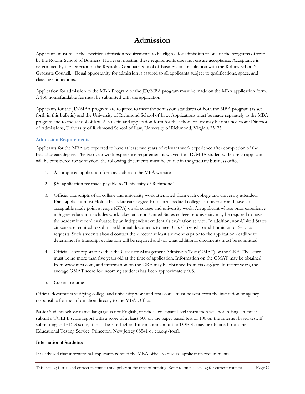# **Admission**

Applicants must meet the specified admission requirements to be eligible for admission to one of the programs offered by the Robins School of Business. However, meeting these requirements does not ensure acceptance. Acceptance is determined by the Director of the Reynolds Graduate School of Business in consultation with the Robins School's Graduate Council. Equal opportunity for admission is assured to all applicants subject to qualifications, space, and class-size limitations.

Application for admission to the MBA Program or the JD/MBA program must be made on the MBA application form. A \$50 nonrefundable fee must be submitted with the application.

Applicants for the JD/MBA program are required to meet the admission standards of both the MBA program (as set forth in this bulletin) and the University of Richmond School of Law. Applications must be made separately to the MBA program and to the school of law. A bulletin and application form for the school of law may be obtained from: Director of Admissions, University of Richmond School of Law, University of Richmond, Virginia 23173.

# **Admission Requirements**

Applicants for the MBA are expected to have at least two years of relevant work experience after completion of the baccalaureate degree. The two-year work experience requirement is waived for JD/MBA students. Before an applicant will be considered for admission, the following documents must be on file in the graduate business office:

- 1. A completed application form available on the MBA website
- 2. \$50 application fee made payable to "University of Richmond"
- 3. Official transcripts of all college and university work attempted from each college and university attended. Each applicant must Hold a baccalaureate degree from an accredited college or university and have an acceptable grade point average (GPA) on all college and university work. An applicant whose prior experience in higher education includes work taken at a non-United States college or university may be required to have the academic record evaluated by an independent credentials evaluation service. In addition, non-United States citizens are required to submit additional documents to meet U.S. Citizenship and Immigration Service requests. Such students should contact the director at least six months prior to the application deadline to determine if a transcript evaluation will be required and/or what additional documents must be submitted.
- 4. Official score report for either the Graduate Management Admission Test (GMAT) or the GRE. The score must be no more than five years old at the time of application. Information on the GMAT may be obtained from www.mba.com, and information on the GRE may be obtained from ets.org/gre. In recent years, the average GMAT score for incoming students has been approximately 605.
- 5. Current resume

Official documents verifying college and university work and test scores must be sent from the institution or agency responsible for the information directly to the MBA Office.

**Note:** Sudents whose native language is not English, or whose collegiate-level instruction was not in English, must submit a TOEFL score report with a score of at least 600 on the paper based test or 100 on the Internet based test. If submitting an IELTS score, it must be 7 or higher. Information about the TOEFL may be obtained from the Educational Testing Service, Princeton, New Jersey 08541 or ets.org/toefl.

# **International Students**

It is advised that international applicants contact the MBA office to discuss application requirements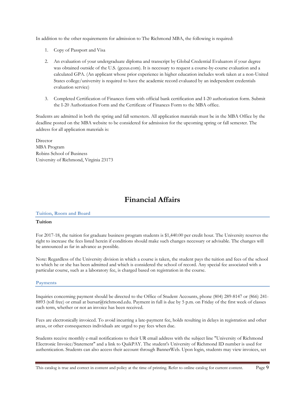In addition to the other requirements for admission to The Richmond MBA, the following is required:

- 1. Copy of Passport and Visa
- 2. An evaluation of your undergraduate diploma and transcript by Global Credential Evaluators if your degree was obtained outside of the U.S. (gceus.com). It is necessary to request a course-by-course evaluation and a calculated GPA. (An applicant whose prior experience in higher education includes work taken at a non-United States college/university is required to have the academic record evaluated by an independent credentials evaluation service)
- 3. Completed Certification of Finances form with official bank certification and I-20 authorization form. Submit the I-20 Authorization Form and the Certificate of Finances Form to the MBA office.

Students are admitted in both the spring and fall semesters. All application materials must be in the MBA Office by the deadline posted on the MBA website to be considered for admission for the upcoming spring or fall semester. The address for all application materials is:

Director MBA Program Robins School of Business University of Richmond, Virginia 23173

# **Financial Affairs**

# **Tuition, Room and Board**

#### **Tuition**

For 2017-18, the tuition for graduate business program students is \$1,440.00 per credit hour. The University reserves the right to increase the fees listed herein if conditions should make such changes necessary or advisable. The changes will be announced as far in advance as possible.

Note: Regardless of the University division in which a course is taken, the student pays the tuition and fees of the school to which he or she has been admitted and which is considered the school of record. Any special fee associated with a particular course, such as a laboratory fee, is charged based on registration in the course.

#### **Payments**

Inquiries concerning payment should be directed to the Office of Student Accounts, phone (804) 289-8147 or (866) 241- 8893 (toll free) or email at bursar@richmond.edu. Payment in full is due by 5 p.m. on Friday of the first week of classes each term, whether or not an invoice has been received.

Fees are electronically invoiced. To avoid incurring a late-payment fee, holds resulting in delays in registration and other areas, or other consequences individuals are urged to pay fees when due.

Students receive monthly e-mail notifications to their UR email address with the subject line "University of Richmond Electronic Invoice/Statement" and a link to QuikPAY. The student's University of Richmond ID number is used for authentication. Students can also access their account through BannerWeb. Upon login, students may view invoices, set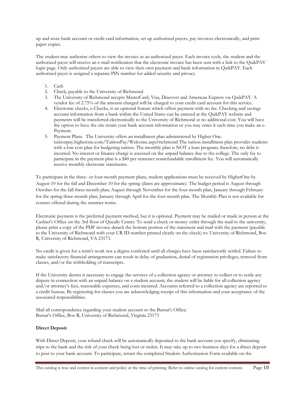up and store bank account or credit card information, set up authorized payers, pay invoices electronically, and print paper copies.

The student may authorize others to view the invoice as an authorized payer. Each invoice cycle, the student and the authorized payer will receive an e-mail notification that the electronic invoice has been sent with a link to the QuikPAY login page. Only authorized payers are able to view their own payment and bank information in QuikPAY. Each authorized payer is assigned a separate PIN number for added security and privacy.

- 1. Cash
- 2. Check, payable to the University of Richmond
- 3. The University of Richmond accepts MasterCard, Visa, Discover and American Express via QuikPAY. A vendor fee of 2.75% of the amount charged will be charged to your credit card account for this service.
- 4. Electronic checks, e-Checks, is an optional feature which offers payment with no fee. Checking and savings account information from a bank within the United States can be entered at the QuikPAY website and payments will be transferred electronically to the University of Richmond at no additional cost. You will have the option to have the site retain your bank account information or you may enter it each time you make an e-Payment.
- 5. Payment Plans. The University offers an installment plan administered by Higher One. tuitionpay.higherone.com/TuitionPay/Welcome.aspx?richmond The tuition installment plan provides students with a low cost plan for budgeting tuition. The monthly plan is NOT a loan program; therefore, no debt is incurred. No interest or finance charge is assessed on the unpaid balance due to the college. The only fee to participate in the payment plan is a \$40 per semester nonrefundable enrollment fee. You will automatically receive monthly electronic statements.

To participate in the three- or four-month payment plans, student applications must be received by HigherOne by August 10 for the fall and December 10 for the spring (dates are approximate). The budget period is August through October for the fall three-month plan; August through November for the four-month plan; January through February for the spring three-month plan; January through April for the four-month plan. The Monthly Plan is not available for courses offered during the summer terms.

Electronic payment is the preferred payment method, but it is optional. Payment may be mailed or made in person at the Cashier's Office on the 3rd floor of Queally Center. To send a check or money order through the mail to the university, please print a copy of the PDF invoice detach the bottom portion of the statement and mail with the payment (payable to the University of Richmond with your UR ID number printed clearly on the check) to: University of Richmond, Box R, University of Richmond, VA 23173.

No credit is given for a term's work nor a degree conferred until all charges have been satisfactorily settled. Failure to make satisfactory financial arrangements can result in delay of graduation, denial of registration privileges, removal from classes, and/or the withholding of transcripts.

If the University deems it necessary to engage the services of a collection agency or attorney to collect or to settle any dispute in connection with an unpaid balance on a student account, the student will be liable for all collection agency and/or attorney's fees, reasonable expenses, and costs incurred. Accounts referred to a collection agency are reported to a credit bureau. By registering for classes you are acknowledging receipt of this information and your acceptance of the associated responsibilities.

Mail all correspondence regarding your student account to the Bursar's Office: Bursar's Office, Box R, University of Richmond, Virginia 23173

# **Direct Deposit**

With Direct Deposit, your refund check will be automatically deposited to the bank account you specify, eliminating trips to the bank and the risk of your check being lost or stolen. It may take up to two business days for a direct deposit to post to your bank account. To participate, return the completed Student Authorization Form available on the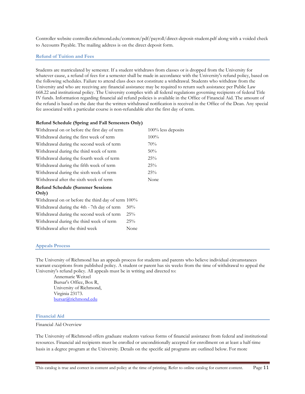Controller website controller.richmond.edu/common/pdf/payroll/direct-deposit-student.pdf along with a voided check to Accounts Payable. The mailing address is on the direct deposit form.

#### **Refund of Tuition and Fees**

Students are matriculated by semester. If a student withdraws from classes or is dropped from the University for whatever cause, a refund of fees for a semester shall be made in accordance with the University's refund policy, based on the following schedules. Failure to attend class does not constitute a withdrawal. Students who withdraw from the University and who are receiving any financial assistance may be required to return such assistance per Public Law 668.22 and institutional policy. The University complies with all federal regulations governing recipients of federal Title IV funds. Information regarding financial aid refund policies is available in the Office of Financial Aid. The amount of the refund is based on the date that the written withdrawal notification is received in the Office of the Dean. Any special fee associated with a particular course is non-refundable after the first day of term.

#### **Refund Schedule (Spring and Fall Semesters Only)**

| Withdrawal on or before the first day of term      |        | $100\%$ less deposits |
|----------------------------------------------------|--------|-----------------------|
| Withdrawal during the first week of term           |        | 100%                  |
| Withdrawal during the second week of term          |        | 70%                   |
| Withdrawal during the third week of term           |        | $50\%$                |
| Withdrawal during the fourth week of term          |        | 25%                   |
| Withdrawal during the fifth week of term           |        | 25%                   |
| Withdrawal during the sixth week of term           |        | 25%                   |
| Withdrawal after the sixth week of term            |        | None                  |
| <b>Refund Schedule (Summer Sessions</b><br>Only)   |        |                       |
| Withdrawal on or before the third day of term 100% |        |                       |
| Withdrawal during the 4th - 7th day of term        | $50\%$ |                       |
| Withdrawal during the second week of term          | 25%    |                       |
| Withdrawal during the third week of term           | 25%    |                       |

#### **Appeals Process**

The University of Richmond has an appeals process for students and parents who believe individual circumstances warrant exceptions from published policy. A student or parent has six weeks from the time of withdrawal to appeal the University's refund policy. All appeals must be in writing and directed to:

Annemarie Weitzel Bursar's Office, Box R, University of Richmond, Virginia 23173. bursar@richmond.edu

Withdrawal after the third week None

#### **Financial Aid**

#### Financial Aid Overview

The University of Richmond offers graduate students various forms of financial assistance from federal and institutional resources. Financial aid recipients must be enrolled or unconditionally accepted for enrollment on at least a half-time basis in a degree program at the University. Details on the specific aid programs are outlined below. For more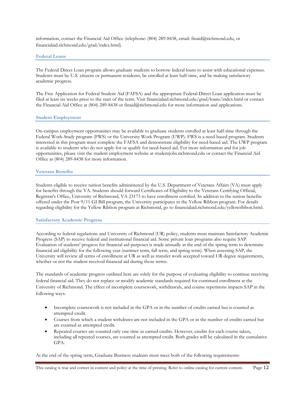information, contact the Financial Aid Office (telephone: (804) 289-8438, email: finaid@richmond.edu, or financialaid.richmond.edu/grad/index.html).

#### **Federal Loans**

The Federal Direct Loan program allows graduate students to borrow federal loans to assist with educational expenses. Students must be U.S. citizens or permanent residents, be enrolled at least half-time, and be making satisfactory academic progress.

The Free Application for Federal Student Aid (FAFSA) and the appropriate Federal Direct Loan application must be filed at least six weeks prior to the start of the term. Visit financialaid.richmond.edu/grad/loans/index.html or contact the Financial Aid Office at (804) 289-8438 or finaid@richmond.edu for more information and applications.

#### **Student Employment**

On-campus employment opportunities may be available to graduate students enrolled at least half-time through the Federal Work-Study program (FWS) or the University Work Program (UWP). FWS is a need-based program. Students interested in this program must complete the FAFSA and demonstrate eligibility for need-based aid. The UWP program is available to students who do not apply for or qualify for need-based aid. For more information and for job opportunities, please visit the student employment website at studentjobs.richmond.edu or contact the Financial Aid Office at (804) 289-8438 for more information.

# **Veterans Benefits**

Students eligible to receive tuition benefits administered by the U.S. Department of Veterans Affairs (VA) must apply for benefits through the VA. Students should forward Certificates of Eligibility to the Veterans Certifying Official, Registrar's Office, University of Richmond, VA 23173 to have enrollment certified. In addition to the tuition benefits offered under the Post 9/11 GI Bill program, the University participates in the Yellow Ribbon program. For details regarding eligibility for the Yellow Ribbon program at Richmond, go to financialaid.richmond.edu/yellowribbon.html.

#### **Satisfactory Academic Progress**

According to federal regulations and University of Richmond (UR) policy, students must maintain Satisfactory Academic Progress (SAP) to receive federal and institutional financial aid. Some private loan programs also require SAP. Evaluation of students' progress for financial aid purposes is made annually at the end of the spring term to determine financial aid eligibility for the following year (summer term, fall term, and spring term). When assessing SAP, the University will review all terms of enrollment at UR as well as transfer work accepted toward UR degree requirements, whether or not the student received financial aid during those terms.

The standards of academic progress outlined here are solely for the purpose of evaluating eligibility to continue receiving federal financial aid. They do not replace or modify academic standards required for continued enrollment at the University of Richmond. The effect of incomplete coursework, withdrawals, and course repetitions impacts SAP in the following ways:

- Incomplete coursework is not included in the GPA or in the number of credits earned but is counted as attempted credit.
- Courses from which a student withdraws are not included in the GPA or in the number of credits earned but are counted as attempted credit.
- Repeated courses are counted only one time as earned credits. However, credits for each course taken, including all repeated courses, are counted as attempted credit. Both grades will be calculated in the cumulative GPA.

At the end of the spring term, Graduate Business students must meet both of the following requirements: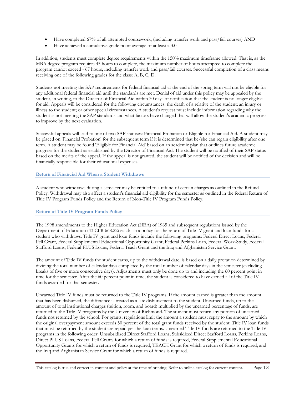- Have completed 67% of all attempted coursework, (including transfer work and pass/fail courses) AND
- Have achieved a cumulative grade point average of at least a 3.0

In addition, students must complete degree requirements within the 150% maximum timeframe allowed. That is, as the MBA degree program requires 45 hours to complete, the maximum number of hours attempted to complete the program cannot exceed - 67 hours, including transfer work and pass/fail courses. Successful completion of a class means receiving one of the following grades for the class: A, B, C, D.

Students not meeting the SAP requirements for federal financial aid at the end of the spring term will not be eligible for any additional federal financial aid until the standards are met. Denial of aid under this policy may be appealed by the student, in writing, to the Director of Financial Aid within 30 days of notification that the student is no longer eligible for aid. Appeals will be considered for the following circumstances: the death of a relative of the student; an injury or illness to the student; or other special circumstances. A student's request must include information regarding why the student is not meeting the SAP standards and what factors have changed that will allow the student's academic progress to improve by the next evaluation.

Successful appeals will lead to one of two SAP statuses: Financial Probation or Eligible for Financial Aid. A student may be placed on 'Financial Probation' for the subsequent term if it is determined that he/she can regain eligibility after one term. A student may be found 'Eligible for Financial Aid' based on an academic plan that outlines future academic progress for the student as established by the Director of Financial Aid. The student will be notified of their SAP status based on the merits of the appeal. If the appeal is not granted, the student will be notified of the decision and will be financially responsible for their educational expenses.

# **Return of Financial Aid When a Student Withdraws**

A student who withdraws during a semester may be entitled to a refund of certain charges as outlined in the Refund Policy. Withdrawal may also affect a student's financial aid eligibility for the semester as outlined in the federal Return of Title IV Program Funds Policy and the Return of Non-Title IV Program Funds Policy.

# **Return of Title IV Program Funds Policy**

The 1998 amendments to the Higher Education Act (HEA) of 1965 and subsequent regulations issued by the Department of Education (43 CFR 668.22) establish a policy for the return of Title IV grant and loan funds for a student who withdraws. Title IV grant and loan funds include the following programs: Federal Direct Loans, Federal Pell Grant, Federal Supplemental Educational Opportunity Grant, Federal Perkins Loan, Federal Work-Study, Federal Stafford Loans, Federal PLUS Loans, Federal Teach Grant and the Iraq and Afghanistan Service Grant.

The amount of Title IV funds the student earns, up to the withdrawal date, is based on a daily proration determined by dividing the total number of calendar days completed by the total number of calendar days in the semester (excluding breaks of five or more consecutive days). Adjustments must only be done up to and including the 60 percent point in time for the semester. After the 60 percent point in time, the student is considered to have earned all of the Title IV funds awarded for that semester.

Unearned Title IV funds must be returned to the Title IV programs. If the amount earned is greater than the amount that has been disbursed, the difference is treated as a late disbursement to the student. Unearned funds, up to the amount of total institutional charges (tuition, room, and board) multiplied by the unearned percentage of funds, are returned to the Title IV programs by the University of Richmond. The student must return any portion of unearned funds not returned by the school. For grants, regulations limit the amount a student must repay to the amount by which the original overpayment amount exceeds 50 percent of the total grant funds received by the student. Title IV loan funds that must be returned by the student are repaid per the loan terms. Unearned Title IV funds are returned to the Title IV programs in the following order: Unsubsidized Direct Stafford Loans, Subsidized Direct Stafford Loans, Perkins Loans, Direct PLUS Loans, Federal Pell Grants for which a return of funds is required, Federal Supplemental Educational Opportunity Grants for which a return of funds is required, TEACH Grant for which a return of funds is required, and the Iraq and Afghanistan Service Grant for which a return of funds is required.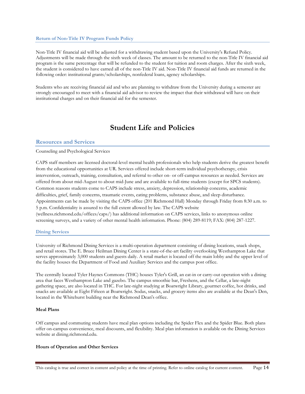#### **Return of Non-Title IV Program Funds Policy**

Non-Title IV financial aid will be adjusted for a withdrawing student based upon the University's Refund Policy. Adjustments will be made through the sixth week of classes. The amount to be returned to the non-Title IV financial aid program is the same percentage that will be refunded to the student for tuition and room charges. After the sixth week, the student is considered to have earned all of the non-Title IV aid. Non-Title IV financial aid funds are returned in the following order: institutional grants/scholarships, nonfederal loans, agency scholarships.

Students who are receiving financial aid and who are planning to withdraw from the University during a semester are strongly encouraged to meet with a financial aid advisor to review the impact that their withdrawal will have on their institutional charges and on their financial aid for the semester.

# **Student Life and Policies**

# **Resources and Services**

#### Counseling and Psychological Services

CAPS staff members are licensed doctoral-level mental health professionals who help students derive the greatest benefit from the educational opportunities at UR. Services offered include short-term individual psychotherapy, crisis intervention, outreach, training, consultation, and referral to other on- or off-campus resources as needed. Services are offered from about mid-August to about mid-June and are available to full-time students (except for SPCS students). Common reasons students come to CAPS include stress, anxiety, depression, relationship concerns, academic difficulties, grief, family concerns, traumatic events, eating problems, substance abuse, and sleep disturbance. Appointments can be made by visiting the CAPS office (201 Richmond Hall) Monday through Friday from 8:30 a.m. to 5 p.m. Confidentiality is assured to the full extent allowed by law. The CAPS website (wellness.richmond.edu/offices/caps/) has additional information on CAPS services, links to anonymous online screening surveys, and a variety of other mental health information. Phone: (804) 289-8119; FAX: (804) 287-1227.

#### **Dining Services**

University of Richmond Dining Services is a multi-operation department consisting of dining locations, snack shops, and retail stores. The E. Bruce Heilman Dining Center is a state-of-the-art facility overlooking Westhampton Lake that serves approximately 3,000 students and guests daily. A retail market is located off the main lobby and the upper level of the facility houses the Department of Food and Auxiliary Services and the campus post office.

The centrally located Tyler Haynes Commons (THC) houses Tyler's Grill, an eat-in or carry-out operation with a dining area that faces Westhampton Lake and gazebo. The campus smoothie bar, Freshens, and the Cellar, a late-night gathering space, are also located in THC. For late-night studying at Boatwright Library, gourmet coffee, hot drinks, and snacks are available at Eight Fifteen at Boatwright. Sodas, snacks, and grocery items also are available at the Dean's Den, located in the Whitehurst building near the Richmond Dean's office.

#### **Meal Plans**

Off campus and commuting students have meal plan options including the Spider Flex and the Spider Blue. Both plans offer on-campus convenience, meal discounts, and flexibility. Meal plan information is available on the Dining Services website at dining.richmond.edu.

#### **Hours of Operation and Other Services**

This catalog is true and correct in content and policy at the time of printing. Refer to online catalog for current content. Page 14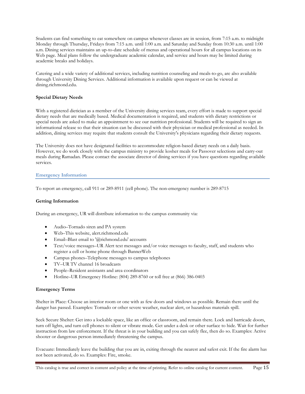Students can find something to eat somewhere on campus whenever classes are in session, from 7:15 a.m. to midnight Monday through Thursday, Fridays from 7:15 a.m. until 1:00 a.m. and Saturday and Sunday from 10:30 a.m. until 1:00 a.m. Dining services maintains an up-to-date schedule of menus and operational hours for all campus locations on its Web page. Meal plans follow the undergraduate academic calendar, and service and hours may be limited during academic breaks and holidays.

Catering and a wide variety of additional services, including nutrition counseling and meals-to-go, are also available through University Dining Services. Additional information is available upon request or can be viewed at dining.richmond.edu.

# **Special Dietary Needs**

With a registered dietician as a member of the University dining services team, every effort is made to support special dietary needs that are medically based. Medical documentation is required, and students with dietary restrictions or special needs are asked to make an appointment to see our nutrition professional. Students will be required to sign an informational release so that their situation can be discussed with their physician or medical professional as needed. In addition, dining services may require that students consult the University's physicians regarding their dietary requests.

The University does not have designated facilities to accommodate religion-based dietary needs on a daily basis. However, we do work closely with the campus ministry to provide kosher meals for Passover selections and carry-out meals during Ramadan. Please contact the associate director of dining services if you have questions regarding available services.

# **Emergency Information**

To report an emergency, call 911 or 289-8911 (cell phone). The non-emergency number is 289-8715

#### **Getting Information**

During an emergency, UR will distribute information to the campus community via:

- Audio–Tornado siren and PA system
- Web–This website, alert.richmond.edu
- Email–Blast email to '@richmond.edu' accounts
- Text/voice messages–UR Alert text messages and/or voice messages to faculty, staff, and students who register a cell or home phone through BannerWeb
- Campus phones–Telephone messages to campus telephones
- TV–UR TV channel 16 broadcasts
- People–Resident assistants and area coordinators
- Hotline–UR Emergency Hotline: (804) 289-8760 or toll free at (866) 386-0403

#### **Emergency Terms**

Shelter in Place: Choose an interior room or one with as few doors and windows as possible. Remain there until the danger has passed. Examples: Tornado or other severe weather, nuclear alert, or hazardous materials spill.

Seek Secure Shelter: Get into a lockable space, like an office or classroom, and remain there. Lock and barricade doors, turn off lights, and turn cell phones to silent or vibrate mode. Get under a desk or other surface to hide. Wait for further instruction from law enforcement. If the threat is in your building and you can safely flee, then do so. Examples: Active shooter or dangerous person immediately threatening the campus.

Evacuate: Immediately leave the building that you are in, exiting through the nearest and safest exit. If the fire alarm has not been activated, do so. Examples: Fire, smoke.

This catalog is true and correct in content and policy at the time of printing. Refer to online catalog for current content. Page 15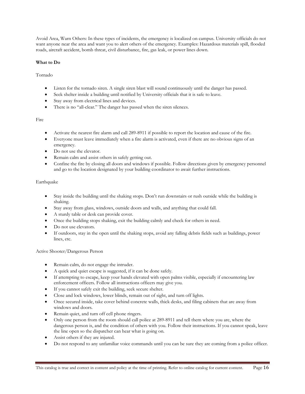Avoid Area, Warn Others: In these types of incidents, the emergency is localized on campus. University officials do not want anyone near the area and want you to alert others of the emergency. Examples: Hazardous materials spill, flooded roads, aircraft accident, bomb threat, civil disturbance, fire, gas leak, or power lines down.

# **What to Do**

Tornado

- Listen for the tornado siren. A single siren blast will sound continuously until the danger has passed.
- Seek shelter inside a building until notified by University officials that it is safe to leave.
- Stay away from electrical lines and devices.
- There is no "all-clear." The danger has passed when the siren silences.

# Fire

- Activate the nearest fire alarm and call 289-8911 if possible to report the location and cause of the fire.
- Everyone must leave immediately when a fire alarm is activated, even if there are no obvious signs of an emergency.
- Do not use the elevator.
- Remain calm and assist others in safely getting out.
- Confine the fire by closing all doors and windows if possible. Follow directions given by emergency personnel and go to the location designated by your building coordinator to await further instructions.

# Earthquake

- Stay inside the building until the shaking stops. Don't run downstairs or rush outside while the building is shaking.
- Stay away from glass, windows, outside doors and walls, and anything that could fall.
- A sturdy table or desk can provide cover.
- Once the building stops shaking, exit the building calmly and check for others in need.
- Do not use elevators.
- If outdoors, stay in the open until the shaking stops, avoid any falling debris fields such as buildings, power lines, etc.

# Active Shooter/Dangerous Person

- Remain calm, do not engage the intruder.
- A quick and quiet escape is suggested, if it can be done safely.
- If attempting to escape, keep your hands elevated with open palms visible, especially if encountering law enforcement officers. Follow all instructions officers may give you.
- If you cannot safely exit the building, seek secure shelter.
- Close and lock windows, lower blinds, remain out of sight, and turn off lights.
- Once secured inside, take cover behind concrete walls, thick desks, and filing cabinets that are away from windows and doors.
- Remain quiet, and turn off cell phone ringers.
- Only one person from the room should call police at 289-8911 and tell them where you are, where the dangerous person is, and the condition of others with you. Follow their instructions. If you cannot speak, leave the line open so the dispatcher can hear what is going on.
- Assist others if they are injured.
- Do not respond to any unfamiliar voice commands until you can be sure they are coming from a police officer.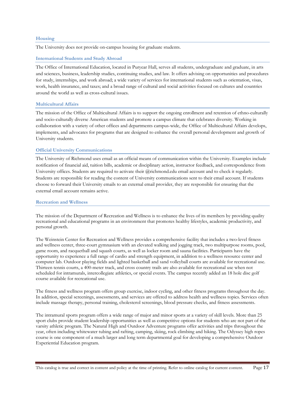#### **Housing**

The University does not provide on-campus housing for graduate students.

#### **International Students and Study Abroad**

The Office of International Education, located in Puryear Hall, serves all students, undergraduate and graduate, in arts and sciences, business, leadership studies, continuing studies, and law. It offers advising on opportunities and procedures for study, internships, and work abroad; a wide variety of services for international students such as orientation, visas, work, health insurance, and taxes; and a broad range of cultural and social activities focused on cultures and countries around the world as well as cross-cultural issues.

#### **Multicultural Affairs**

The mission of the Office of Multicultural Affairs is to support the ongoing enrollment and retention of ethno-culturally and socio-culturally diverse American students and promote a campus climate that celebrates diversity. Working in collaboration with a variety of other offices and departments campus-wide, the Office of Multicultural Affairs develops, implements, and advocates for programs that are designed to enhance the overall personal development and growth of University students.

#### **Official University Communications**

The University of Richmond uses email as an official means of communication within the University. Examples include notification of financial aid, tuition bills, academic or disciplinary action, instructor feedback, and correspondence from University offices. Students are required to activate their @richmond.edu email account and to check it regularly. Students are responsible for reading the content of University communications sent to their email account. If students choose to forward their University emails to an external email provider, they are responsible for ensuring that the external email account remains active.

#### **Recreation and Wellness**

The mission of the Department of Recreation and Wellness is to enhance the lives of its members by providing quality recreational and educational programs in an environment that promotes healthy lifestyles, academic productivity, and personal growth.

The Weinstein Center for Recreation and Wellness provides a comprehensive facility that includes a two-level fitness and wellness center, three-court gymnasium with an elevated walking and jogging track, two multipurpose rooms, pool, game room, and racquetball and squash courts, as well as locker room and sauna facilities. Participants have the opportunity to experience a full range of cardio and strength equipment, in addition to a wellness resource center and computer lab. Outdoor playing fields and lighted basketball and sand volleyball courts are available for recreational use. Thirteen tennis courts, a 400-meter track, and cross country trails are also available for recreational use when not scheduled for intramurals, intercollegiate athletics, or special events. The campus recently added an 18 hole disc golf course available for recreational use.

The fitness and wellness program offers group exercise, indoor cycling, and other fitness programs throughout the day. In addition, special screenings, assessments, and services are offered to address health and wellness topics. Services often include massage therapy, personal training, cholesterol screenings, blood pressure checks, and fitness assessments.

The intramural sports program offers a wide range of major and minor sports at a variety of skill levels. More than 25 sport clubs provide student leadership opportunities as well as competitive options for students who are not part of the varsity athletic program. The Natural High and Outdoor Adventure programs offer activities and trips throughout the year, often including whitewater tubing and rafting, camping, skiing, rock climbing and hiking. The Odyssey high ropes course is one component of a much larger and long term departmental goal for developing a comprehensive Outdoor Experiential Education program.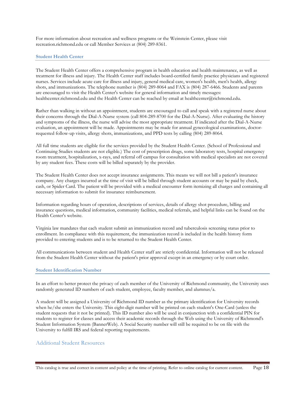For more information about recreation and wellness programs or the Weinstein Center, please visit recreation.richmond.edu or call Member Services at (804) 289-8361.

#### **Student Health Center**

The Student Health Center offers a comprehensive program in health education and health maintenance, as well as treatment for illness and injury. The Health Center staff includes board-certified family practice physicians and registered nurses. Services include acute care for illness and injury, general medical care, women's health, men's health, allergy shots, and immunizations. The telephone number is (804) 289-8064 and FAX is (804) 287-6466. Students and parents are encouraged to visit the Health Center's website for general information and timely messages: healthcenter.richmond.edu and the Health Center can be reached by email at healthcenter@richmond.edu.

Rather than walking in without an appointment, students are encouraged to call and speak with a registered nurse about their concerns through the Dial-A-Nurse system (call 804-289-8700 for the Dial-A-Nurse). After evaluating the history and symptoms of the illness, the nurse will advise the most appropriate treatment. If indicated after the Dial-A-Nurse evaluation, an appointment will be made. Appointments may be made for annual gynecological examinations, doctorrequested follow-up visits, allergy shots, immunizations, and PPD tests by calling (804) 289-8064.

All full time students are eligible for the services provided by the Student Health Center. (School of Professional and Continuing Studies students are not eligible.) The cost of prescription drugs, some laboratory tests, hospital emergency room treatment, hospitalization, x-rays, and referral off campus for consultation with medical specialists are not covered by any student fees. These costs will be billed separately by the provider.

The Student Health Center does not accept insurance assignments. This means we will not bill a patient's insurance company. Any charges incurred at the time of visit will be billed through student accounts or may be paid by check, cash, or Spider Card. The patient will be provided with a medical encounter form itemizing all charges and containing all necessary information to submit for insurance reimbursement.

Information regarding hours of operation, descriptions of services, details of allergy shot procedure, billing and insurance questions, medical information, community facilities, medical referrals, and helpful links can be found on the Health Center's website.

Virginia law mandates that each student submit an immunization record and tuberculosis screening status prior to enrollment. In compliance with this requirement, the immunization record is included in the health history form provided to entering students and is to be returned to the Student Health Center.

All communications between student and Health Center staff are strictly confidential. Information will not be released from the Student Health Center without the patient's prior approval except in an emergency or by court order.

#### **Student Identification Number**

In an effort to better protect the privacy of each member of the University of Richmond community, the University uses randomly generated ID numbers of each student, employee, faculty member, and alumnus/a.

A student will be assigned a University of Richmond ID number as the primary identification for University records when he/she enters the University. This eight-digit number will be printed on each student's One-Card (unless the student requests that it not be printed). This ID number also will be used in conjunction with a confidential PIN for students to register for classes and access their academic records through the Web using the University of Richmond's Student Information System (BannerWeb). A Social Security number will still be required to be on file with the University to fulfill IRS and federal reporting requirements.

# Additional Student Resources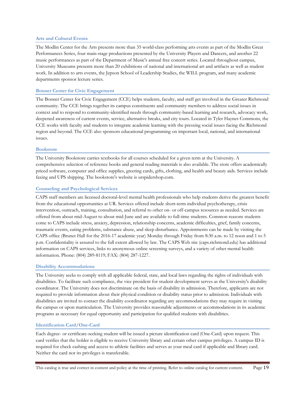#### **Arts and Cultural Events**

The Modlin Center for the Arts presents more than 35 world-class performing arts events as part of the Modlin Great Performances Series, four main-stage productions presented by the University Players and Dancers, and another 22 music performances as part of the Department of Music's annual free concert series. Located throughout campus, University Museums presents more than 20 exhibitions of national and international art and artifacts as well as student work. In addition to arts events, the Jepson School of Leadership Studies, the WILL program, and many academic departments sponsor lecture series.

# **Bonner Center for Civic Engagement**

The Bonner Center for Civic Engagement (CCE) helps students, faculty, and staff get involved in the Greater Richmond community. The CCE brings together its campus constituents and community members to address social issues in context and to respond to community-identified needs through community-based learning and research, advocacy work, deepened awareness of current events, service, alternative breaks, and city tours. Located in Tyler Haynes Commons, the CCE works with faculty and students to integrate academic learning with the pressing social issues facing the Richmond region and beyond. The CCE also sponsors educational programming on important local, national, and international issues.

#### **Bookstore**

The University Bookstore carries textbooks for all courses scheduled for a given term at the University. A comprehensive selection of reference books and general reading materials is also available. The store offers academically priced software, computer and office supplies, greeting cards, gifts, clothing, and health and beauty aids. Services include faxing and UPS shipping. The bookstore's website is urspidershop.com.

# **Counseling and Psychological Services**

CAPS staff members are licensed doctoral-level mental health professionals who help students derive the greatest benefit from the educational opportunities at UR. Services offered include short-term individual psychotherapy, crisis intervention, outreach, training, consultation, and referral to other on- or off-campus resources as needed. Services are offered from about mid-August to about mid-June and are available to full-time students. Common reasons students come to CAPS include stress, anxiety, depression, relationship concerns, academic difficulties, grief, family concerns, traumatic events, eating problems, substance abuse, and sleep disturbance. Appointments can be made by visiting the CAPS office (Brunet Hall for the 2016-17 academic year) Monday through Friday from 8:30 a.m. to 12 noon and 1 to 5 p.m. Confidentiality is assured to the full extent allowed by law. The CAPS Web site (caps.richmond.edu) has additional information on CAPS services, links to anonymous online screening surveys, and a variety of other mental health information. Phone: (804) 289-8119; FAX: (804) 287-1227.

#### **Disability Accommodations**

The University seeks to comply with all applicable federal, state, and local laws regarding the rights of individuals with disabilities. To facilitate such compliance, the vice president for student development serves as the University's disability coordinator. The University does not discriminate on the basis of disability in admission. Therefore, applicants are not required to provide information about their physical condition or disability status prior to admission. Individuals with disabilities are invited to contact the disability coordinator regarding any accommodations they may require in visiting the campus or upon matriculation. The University provides reasonable adjustments or accommodations in its academic programs as necessary for equal opportunity and participation for qualified students with disabilities.

# **Identification Card/One-Card**

Each degree- or certificate-seeking student will be issued a picture identification card (One-Card) upon request. This card verifies that the holder is eligible to receive University library and certain other campus privileges. A campus ID is required for check cashing and access to athletic facilities and serves as your meal card if applicable and library card. Neither the card nor its privileges is transferable.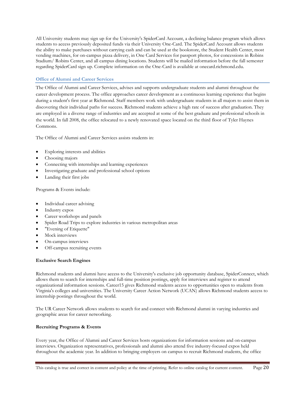All University students may sign up for the University's SpiderCard Account, a declining balance program which allows students to access previously deposited funds via their University One-Card. The SpiderCard Account allows students the ability to make purchases without carrying cash and can be used at the bookstore, the Student Health Center, most vending machines, for on-campus pizza delivery, in One Card Services for passport photos, for concessions in Robins Stadium/ Robins Center, and all campus dining locations. Students will be mailed information before the fall semester regarding SpiderCard sign up. Complete information on the One-Card is available at onecard.richmond.edu.

# **Office of Alumni and Career Services**

The Office of Alumni and Career Services, advises and supports undergraduate students and alumni throughout the career development process. The office approaches career development as a continuous learning experience that begins during a student's first year at Richmond. Staff members work with undergraduate students in all majors to assist them in discovering their individual paths for success. Richmond students achieve a high rate of success after graduation. They are employed in a diverse range of industries and are accepted at some of the best graduate and professional schools in the world. In fall 2008, the office relocated to a newly renovated space located on the third floor of Tyler Haynes Commons.

The Office of Alumni and Career Services assists students in:

- Exploring interests and abilities
- Choosing majors
- Connecting with internships and learning experiences
- Investigating graduate and professional school options
- Landing their first jobs

Programs & Events include:

- Individual career advising
- Industry expos
- Career workshops and panels
- Spider Road Trips to explore industries in various metropolitan areas
- "Evening of Etiquette"
- Mock interviews
- On-campus interviews
- Off-campus recruiting events

# **Exclusive Search Engines**

Richmond students and alumni have access to the University's exclusive job opportunity database, SpiderConnect, which allows them to search for internships and full-time position postings, apply for interviews and register to attend organizational information sessions. Career15 gives Richmond students access to opportunities open to students from Virginia's colleges and universities. The University Career Action Network (UCAN) allows Richmond students access to internship postings throughout the world.

The UR Career Network allows students to search for and connect with Richmond alumni in varying industries and geographic areas for career networking.

# **Recruiting Programs & Events**

Every year, the Office of Alumni and Career Services hosts organizations for information sessions and on-campus interviews. Organization representatives, professionals and alumni also attend five industry-focused expos held throughout the academic year. In addition to bringing employers on campus to recruit Richmond students, the office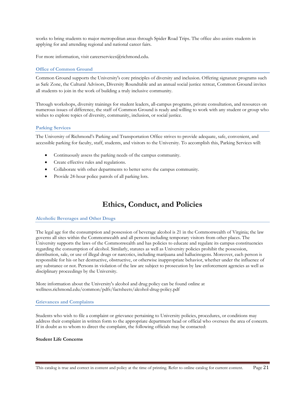works to bring students to major metropolitan areas through Spider Road Trips. The office also assists students in applying for and attending regional and national career fairs.

For more information, visit careerservices@richmond.edu.

#### **Office of Common Ground**

Common Ground supports the University's core principles of diversity and inclusion. Offering signature programs such as Safe Zone, the Cultural Advisors, Diversity Roundtable and an annual social justice retreat, Common Ground invites all students to join in the work of building a truly inclusive community.

Through workshops, diversity trainings for student leaders, all-campus programs, private consultation, and resources on numerous issues of difference, the staff of Common Ground is ready and willing to work with any student or group who wishes to explore topics of diversity, community, inclusion, or social justice.

#### **Parking Services**

The University of Richmond's Parking and Transportation Office strives to provide adequate, safe, convenient, and accessible parking for faculty, staff, students, and visitors to the University. To accomplish this, Parking Services will:

- Continuously assess the parking needs of the campus community.
- Create effective rules and regulations.
- Collaborate with other departments to better serve the campus community.
- Provide 24-hour police patrols of all parking lots.

# **Ethics, Conduct, and Policies**

#### **Alcoholic Beverages and Other Drugs**

The legal age for the consumption and possession of beverage alcohol is 21 in the Commonwealth of Virginia; the law governs all sites within the Commonwealth and all persons including temporary visitors from other places. The University supports the laws of the Commonwealth and has policies to educate and regulate its campus constituencies regarding the consumption of alcohol. Similarly, statutes as well as University policies prohibit the possession, distribution, sale, or use of illegal drugs or narcotics, including marijuana and hallucinogens. Moreover, each person is responsible for his or her destructive, obstructive, or otherwise inappropriate behavior, whether under the influence of any substance or not. Persons in violation of the law are subject to prosecution by law enforcement agencies as well as disciplinary proceedings by the University.

More information about the University's alcohol and drug policy can be found online at wellness.richmond.edu/common/pdfs/factsheets/alcohol-drug-policy.pdf

#### **Grievances and Complaints**

Students who wish to file a complaint or grievance pertaining to University policies, procedures, or conditions may address their complaint in written form to the appropriate department head or official who oversees the area of concern. If in doubt as to whom to direct the complaint, the following officials may be contacted:

#### **Student Life Concerns**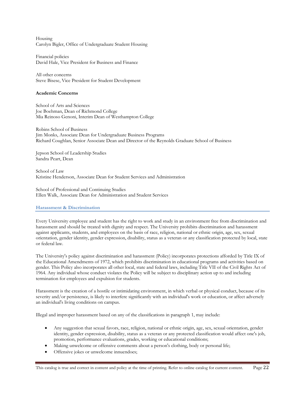Housing Carolyn Bigler, Office of Undergraduate Student Housing

Financial policies David Hale, Vice President for Business and Finance

All other concerns Steve Bisese, Vice President for Student Development

#### **Academic Concerns**

School of Arts and Sciences Joe Boehman, Dean of Richmond College Mia Reinoso Genoni, Interim Dean of Westhampton College

Robins School of Business Jim Monks, Associate Dean for Undergraduate Business Programs Richard Coughlan, Senior Associate Dean and Director of the Reynolds Graduate School of Business

Jepson School of Leadership Studies Sandra Peart, Dean

School of Law Kristine Henderson, Associate Dean for Student Services and Administration

School of Professional and Continuing Studies Ellen Walk, Associate Dean for Administration and Student Services

#### **Harassment & Discrimination**

Every University employee and student has the right to work and study in an environment free from discrimination and harassment and should be treated with dignity and respect. The University prohibits discrimination and harassment against applicants, students, and employees on the basis of race, religion, national or ethnic origin, age, sex, sexual orientation, gender identity, gender expression, disability, status as a veteran or any classification protected by local, state or federal law.

The University's policy against discrimination and harassment (Policy) incorporates protections afforded by Title IX of the Educational Amendments of 1972, which prohibits discrimination in educational programs and activities based on gender. This Policy also incorporates all other local, state and federal laws, including Title VII of the Civil Rights Act of 1964. Any individual whose conduct violates the Policy will be subject to disciplinary action up to and including termination for employees and expulsion for students.

Harassment is the creation of a hostile or intimidating environment, in which verbal or physical conduct, because of its severity and/or persistence, is likely to interfere significantly with an individual's work or education, or affect adversely an individual's living conditions on campus.

Illegal and improper harassment based on any of the classifications in paragraph 1, may include:

- Any suggestion that sexual favors, race, religion, national or ethnic origin, age, sex, sexual orientation, gender identity, gender expression, disability, status as a veteran or any protected classification would affect one's job, promotion, performance evaluations, grades, working or educational conditions;
- Making unwelcome or offensive comments about a person's clothing, body or personal life;
- Offensive jokes or unwelcome innuendoes;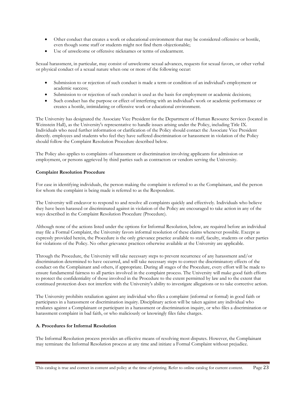- Other conduct that creates a work or educational environment that may be considered offensive or hostile, even though some staff or students might not find them objectionable;
- Use of unwelcome or offensive nicknames or terms of endearment.

Sexual harassment, in particular, may consist of unwelcome sexual advances, requests for sexual favors, or other verbal or physical conduct of a sexual nature when one or more of the following occur:

- Submission to or rejection of such conduct is made a term or condition of an individual's employment or academic success;
- Submission to or rejection of such conduct is used as the basis for employment or academic decisions;
- Such conduct has the purpose or effect of interfering with an individual's work or academic performance or creates a hostile, intimidating or offensive work or educational environment.

The University has designated the Associate Vice President for the Department of Human Resource Services (located in Weinstein Hall), as the University's representative to handle issues arising under the Policy, including Title IX. Individuals who need further information or clarification of the Policy should contact the Associate Vice President directly. employees and students who feel they have suffered discrimination or harassment in violation of the Policy should follow the Complaint Resolution Procedure described below.

The Policy also applies to complaints of harassment or discrimination involving applicants for admission or employment, or persons aggrieved by third parties such as contractors or vendors serving the University.

# **Complaint Resolution Procedure**

For ease in identifying individuals, the person making the complaint is referred to as the Complainant, and the person for whom the complaint is being made is referred to as the Respondent.

The University will endeavor to respond to and resolve all complaints quickly and effectively. Individuals who believe they have been harassed or discriminated against in violation of the Policy are encouraged to take action in any of the ways described in the Complaint Resolution Procedure (Procedure).

Although none of the actions listed under the options for Informal Resolution, below, are required before an individual may file a Formal Complaint, the University favors informal resolution of these claims whenever possible. Except as expressly provided herein, the Procedure is the only grievance practice available to staff, faculty, students or other parties for violations of the Policy. No other grievance practices otherwise available at the University are applicable.

Through the Procedure, the University will take necessary steps to prevent recurrence of any harassment and/or discrimination determined to have occurred, and will take necessary steps to correct the discriminatory effects of the conduct on the Complainant and others, if appropriate. During all stages of the Procedure, every effort will be made to ensure fundamental fairness to all parties involved in the complaint process. The University will make good faith efforts to protect the confidentiality of those involved in the Procedure to the extent permitted by law and to the extent that continued protection does not interfere with the University's ability to investigate allegations or to take corrective action.

The University prohibits retaliation against any individual who files a complaint (informal or formal) in good faith or participates in a harassment or discrimination inquiry. Disciplinary action will be taken against any individual who retaliates against a Complainant or participant in a harassment or discrimination inquiry, or who files a discrimination or harassment complaint in bad faith, or who maliciously or knowingly files false charges.

# **A. Procedures for Informal Resolution**

The Informal Resolution process provides an effective means of resolving most disputes. However, the Complainant may terminate the Informal Resolution process at any time and initiate a Formal Complaint without prejudice.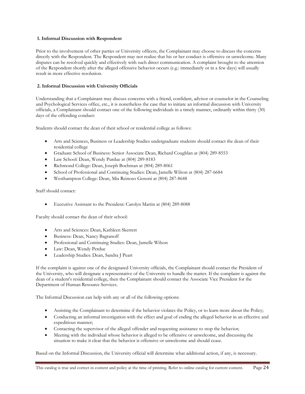# **1. Informal Discussion with Respondent**

Prior to the involvement of other parties or University officers, the Complainant may choose to discuss the concerns directly with the Respondent. The Respondent may not realize that his or her conduct is offensive or unwelcome. Many disputes can be resolved quickly and effectively with such direct communication. A complaint brought to the attention of the Respondent shortly after the alleged offensive behavior occurs (e.g.: immediately or in a few days) will usually result in more effective resolution.

# **2. Informal Discussion with University Officials**

Understanding that a Complainant may discuss concerns with a friend, confidant, advisor or counselor in the Counseling and Psychological Services office, etc., it is nonetheless the case that to initiate an informal discussion with University officials, a Complainant should contact one of the following individuals in a timely manner, ordinarily within thirty (30) days of the offending conduct:

Students should contact the dean of their school or residential college as follows:

- Arts and Sciences, Business or Leadership Studies undergraduate students should contact the dean of their residential college
- Graduate School of Business: Senior Associate Dean, Richard Coughlan at (804) 289-8553
- Law School: Dean, Wendy Purdue at (804) 289-8183
- Richmond College: Dean, Joseph Boehman at (804) 289-8061
- School of Professional and Continuing Studies: Dean, Jamelle Wilson at (804) 287-6684
- Westhampton College: Dean, Mia Reinoso Genoni at (804) 287-8648

#### Staff should contact:

Executive Assistant to the President: Carolyn Martin at (804) 289-8088

Faculty should contact the dean of their school:

- Arts and Sciences: Dean, Kathleen Skerrett
- Business: Dean, Nancy Bagranoff
- Professional and Continuing Studies: Dean, Jamelle Wilson
- Law: Dean, Wendy Perdue
- Leadership Studies: Dean, Sandra J Peart

If the complaint is against one of the designated University officials, the Complainant should contact the President of the University, who will designate a representative of the University to handle the matter. If the complaint is against the dean of a student's residential college, then the Complainant should contact the Associate Vice President for the Department of Human Resource Services.

The Informal Discussion can help with any or all of the following options:

- Assisting the Complainant to determine if the behavior violates the Policy, or to learn more about the Policy;
- Conducting an informal investigation with the effect and goal of ending the alleged behavior in an effective and expeditious manner;
- Contacting the supervisor of the alleged offender and requesting assistance to stop the behavior;
- Meeting with the individual whose behavior is alleged to be offensive or unwelcome, and discussing the situation to make it clear that the behavior is offensive or unwelcome and should cease.

Based on the Informal Discussion, the University official will determine what additional action, if any, is necessary.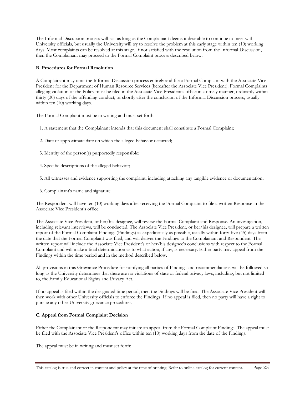The Informal Discussion process will last as long as the Complainant deems it desirable to continue to meet with University officials, but usually the University will try to resolve the problem at this early stage within ten (10) working days. Most complaints can be resolved at this stage. If not satisfied with the resolution from the Informal Discussion, then the Complainant may proceed to the Formal Complaint process described below.

# **B. Procedures for Formal Resolution**

A Complainant may omit the Informal Discussion process entirely and file a Formal Complaint with the Associate Vice President for the Department of Human Resource Services (hereafter the Associate Vice President). Formal Complaints alleging violation of the Policy must be filed in the Associate Vice President's office in a timely manner, ordinarily within thirty (30) days of the offending conduct, or shortly after the conclusion of the Informal Discussion process, usually within ten (10) working days.

The Formal Complaint must be in writing and must set forth:

- 1. A statement that the Complainant intends that this document shall constitute a Formal Complaint;
- 2. Date or approximate date on which the alleged behavior occurred;
- 3. Identity of the person(s) purportedly responsible;
- 4. Specific descriptions of the alleged behavior;
- 5. All witnesses and evidence supporting the complaint, including attaching any tangible evidence or documentation;
- 6. Complainant's name and signature.

The Respondent will have ten (10) working days after receiving the Formal Complaint to file a written Response in the Associate Vice President's office.

The Associate Vice President, or her/his designee, will review the Formal Complaint and Response. An investigation, including relevant interviews, will be conducted. The Associate Vice President, or her/his designee, will prepare a written report of the Formal Complaint Findings (Findings) as expeditiously as possible, usually within forty-five (45) days from the date that the Formal Complaint was filed, and will deliver the Findings to the Complainant and Respondent. The written report will include the Associate Vice President's or her/his designee's conclusions with respect to the Formal Complaint and will make a final determination as to what action, if any, is necessary. Either party may appeal from the Findings within the time period and in the method described below.

All provisions in this Grievance Procedure for notifying all parties of Findings and recommendations will be followed so long as the University determines that there are no violations of state or federal privacy laws, including, but not limited to, the Family Educational Rights and Privacy Act.

If no appeal is filed within the designated time period, then the Findings will be final. The Associate Vice President will then work with other University officials to enforce the Findings. If no appeal is filed, then no party will have a right to pursue any other University grievance procedures.

# **C. Appeal from Formal Complaint Decision**

Either the Complainant or the Respondent may initiate an appeal from the Formal Complaint Findings. The appeal must be filed with the Associate Vice President's office within ten (10) working days from the date of the Findings.

The appeal must be in writing and must set forth: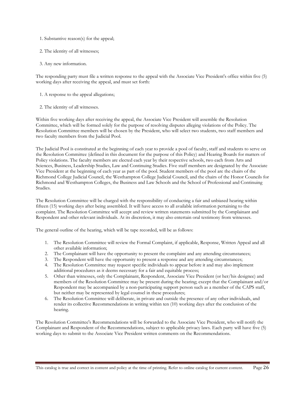- 1. Substantive reason(s) for the appeal;
- 2. The identity of all witnesses;
- 3. Any new information.

The responding party must file a written response to the appeal with the Associate Vice President's office within five (5) working days after receiving the appeal, and must set forth:

- 1. A response to the appeal allegations;
- 2. The identity of all witnesses.

Within five working days after receiving the appeal, the Associate Vice President will assemble the Resolution Committee, which will be formed solely for the purpose of resolving disputes alleging violations of the Policy. The Resolution Committee members will be chosen by the President, who will select two students, two staff members and two faculty members from the Judicial Pool.

The Judicial Pool is constituted at the beginning of each year to provide a pool of faculty, staff and students to serve on the Resolution Committee (defined in this document for the purpose of this Policy) and Hearing Boards for matters of Policy violations. The faculty members are elected each year by their respective schools, two each from Arts and Sciences, Business, Leadership Studies, Law and Continuing Studies. Five staff members are designated by the Associate Vice President at the beginning of each year as part of the pool. Student members of the pool are the chairs of the Richmond College Judicial Council, the Westhampton College Judicial Council, and the chairs of the Honor Councils for Richmond and Westhampton Colleges, the Business and Law Schools and the School of Professional and Continuing Studies.

The Resolution Committee will be charged with the responsibility of conducting a fair and unbiased hearing within fifteen (15) working days after being assembled. It will have access to all available information pertaining to the complaint. The Resolution Committee will accept and review written statements submitted by the Complainant and Respondent and other relevant individuals. At its discretion, it may also entertain oral testimony from witnesses.

The general outline of the hearing, which will be tape recorded, will be as follows:

- 1. The Resolution Committee will review the Formal Complaint, if applicable, Response, Written Appeal and all other available information;
- 2. The Complainant will have the opportunity to present the complaint and any attending circumstances;
- 3. The Respondent will have the opportunity to present a response and any attending circumstances;
- 4. The Resolution Committee may request specific individuals to appear before it and may also implement additional procedures as it deems necessary for a fair and equitable process;
- 5. Other than witnesses, only the Complainant, Respondent, Associate Vice President (or her/his designee) and members of the Resolution Committee may be present during the hearing; except that the Complainant and/or Respondent may be accompanied by a non-participating support person such as a member of the CAPS staff, but neither may be represented by legal counsel in these procedures;
- 6. The Resolution Committee will deliberate, in private and outside the presence of any other individuals, and render its collective Recommendations in writing within ten (10) working days after the conclusion of the hearing.

The Resolution Committee's Recommendations will be forwarded to the Associate Vice President, who will notify the Complainant and Respondent of the Recommendations, subject to applicable privacy laws. Each party will have five (5) working days to submit to the Associate Vice President written comments on the Recommendations.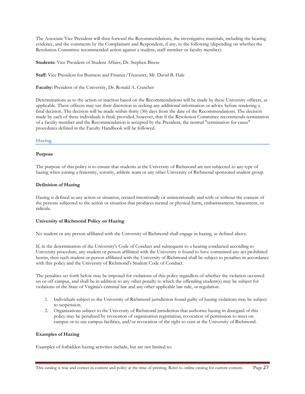The Associate Vice President will then forward the Recommendations, the investigative materials, including the hearing evidence, and the comments by the Complainant and Respondent, if any, to the following (depending on whether the Resolution Committee recommended action against a student, staff member or faculty member):

**Students:** Vice President of Student Affairs, Dr. Stephen Bisese

**Staff:** Vice President for Business and Finance/Treasurer, Mr. David B. Hale

**Faculty:** President of the University, Dr. Ronald A. Crutcher

Determinations as to the action or inaction based on the Recommendations will be made by these University officers, as applicable. These officers may use their discretion in seeking any additional information or advice before rendering a final decision. The decision will be made within thirty (30) days from the date of the Recommendations. The decision made by each of these individuals is final; provided, however, that if the Resolution Committee recommends termination of a faculty member and the Recommendation is accepted by the President, the normal "termination for cause" procedures defined in the Faculty Handbook will be followed.

**Hazing** 

#### **Purpose**

The purpose of this policy is to ensure that students at the University of Richmond are not subjected to any type of hazing when joining a fraternity, sorority, athletic team or any other University of Richmond sponsored student group.

# **Definition of Hazing**

Hazing is defined as any action or situation, created intentionally or unintentionally and with or without the consent of the persons subjected to the action or situation that produces mental or physical harm, embarrassment, harassment, or ridicule.

# **University of Richmond Policy on Hazing**

No student or any person affiliated with the University of Richmond shall engage in hazing, as defined above.

If, in the determination of the University's Code of Conduct and subsequent to a hearing conducted according to University procedure, any student or person affiliated with the University is found to have committed any act prohibited herein, then such student or person affiliated with the University of Richmond shall be subject to penalties in accordance with this policy and the University of Richmond's Student Code of Conduct.

The penalties set forth below may be imposed for violations of this policy regardless of whether the violation occurred on or off campus, and shall be in addition to any other penalty to which the offending student(s) may be subject for violations of the State of Virginia's criminal law and any other applicable law rule, or regulation.

- 1. Individuals subject to the University of Richmond jurisdiction found guilty of hazing violations may be subject to suspension.
- 2. Organizations subject to the University of Richmond jurisdiction that authorize hazing in disregard of this policy may be penalized by revocation of organization registration, revocation of permission to meet on campus or to use campus facilities, and/or revocation of the right to exist at the University of Richmond.

#### **Examples of Hazing**

Examples of forbidden hazing activities include, but are not limited to: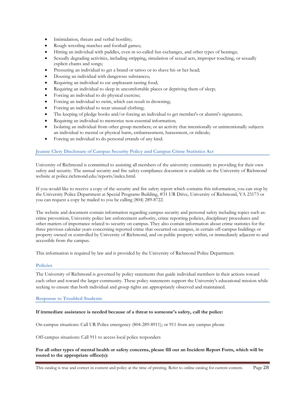- Intimidation, threats and verbal hostility;
- Rough wrestling matches and football games;
- Hitting an individual with paddles, even in so-called fun exchanges, and other types of beatings;
- Sexually degrading activities, including stripping, simulation of sexual acts, improper touching, or sexually explicit chants and songs;
- Pressuring an individual to get a brand or tattoo or to shave his or her head;
- Dousing an individual with dangerous substances;
- Requiring an individual to eat unpleasant-tasting food;
- Requiring an individual to sleep in uncomfortable places or depriving them of sleep;
- Forcing an individual to do physical exercise;
- Forcing an individual to swim, which can result in drowning;
- Forcing an individual to wear unusual clothing;
- The keeping of pledge books and/or forcing an individual to get member's or alumni's signatures;
- Requiring an individual to memorize non-essential information;
- Isolating an individual from other group members; or an activity that intentionally or unintentionally subjects an individual to mental or physical harm, embarrassment, harassment, or ridicule;
- Forcing an individual to do personal errands of any kind.

# **Jeanne Clery Disclosure of Campus Security Policy and Campus Crime Statistics Act**

University of Richmond is committed to assisting all members of the university community in providing for their own safety and security. The annual security and fire safety compliance document is available on the University of Richmond website at police.richmond.edu/reports/index.html.

If you would like to receive a copy of the security and fire safety report which contains this information, you can stop by the University Police Department at Special Programs Building, #31 UR Drive, University of Richmond, VA 23173 or you can request a copy be mailed to you be calling (804) 289-8722.

The website and document contain information regarding campus security and personal safety including topics such as: crime prevention, University police law enforcement authority, crime reporting policies, disciplinary procedures and other matters of importance related to security on campus. They also contain information about crime statistics for the three previous calendar years concerning reported crime that occurred on campus, in certain off-campus buildings or property owned or controlled by University of Richmond, and on public property within, or immediately adjacent to and accessible from the campus.

This information is required by law and is provided by the University of Richmond Police Department.

### **Policies**

The University of Richmond is governed by policy statements that guide individual members in their actions toward each other and toward the larger community. These policy statements support the University's educational mission while seeking to ensure that both individual and group rights are appropriately observed and maintained.

#### **Response to Troubled Students**

#### **If immediate assistance is needed because of a threat to someone's safety, call the police:**

On-campus situations: Call UR Police emergency (804-289-8911); or 911 from any campus phone

Off-campus situations: Call 911 to access local police responders

# **For all other types of mental health or safety concerns, please fill out an Incident Report Form, which will be routed to the appropriate office(s):**

This catalog is true and correct in content and policy at the time of printing. Refer to online catalog for current content. Page 28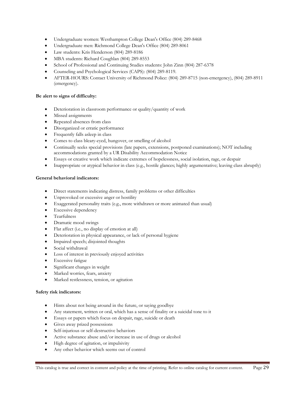- Undergraduate women: Westhampton College Dean's Office (804) 289-8468
- Undergraduate men: Richmond College Dean's Office (804) 289-8061
- Law students: Kris Henderson (804) 289-8186
- MBA students: Richard Coughlan (804) 289-8553
- School of Professional and Continuing Studies students: John Zinn (804) 287-6378
- Counseling and Psychological Services (CAPS): (804) 289-8119.
- AFTER-HOURS: Contact University of Richmond Police: (804) 289-8715 (non-emergency), (804) 289-8911 (emergency).

# **Be alert to signs of difficulty:**

- Deterioration in classroom performance or quality/quantity of work
- Missed assignments
- Repeated absences from class
- Disorganized or erratic performance
- Frequently falls asleep in class
- Comes to class bleary-eyed, hungover, or smelling of alcohol
- Continually seeks special provisions (late papers, extensions, postponed examinations); NOT including accommodations granted by a UR Disability Accommodation Notice
- Essays or creative work which indicate extremes of hopelessness, social isolation, rage, or despair
- Inappropriate or atypical behavior in class (e.g., hostile glances; highly argumentative; leaving class abruptly)

# **General behavioral indicators:**

- Direct statements indicating distress, family problems or other difficulties
- Unprovoked or excessive anger or hostility
- Exaggerated personality traits (e.g., more withdrawn or more animated than usual)
- Excessive dependency
- **•** Tearfulness
- Dramatic mood swings
- Flat affect (i.e., no display of emotion at all)
- Deterioration in physical appearance, or lack of personal hygiene
- Impaired speech; disjointed thoughts
- Social withdrawal
- Loss of interest in previously enjoyed activities
- **•** Excessive fatigue
- Significant changes in weight
- Marked worries, fears, anxiety
- Marked restlessness, tension, or agitation

#### **Safety risk indicators:**

- Hints about not being around in the future, or saying goodbye
- Any statement, written or oral, which has a sense of finality or a suicidal tone to it
- Essays or papers which focus on despair, rage, suicide or death
- Gives away prized possessions
- Self-injurious or self-destructive behaviors
- Active substance abuse and/or increase in use of drugs or alcohol
- High degree of agitation, or impulsivity
- Any other behavior which seems out of control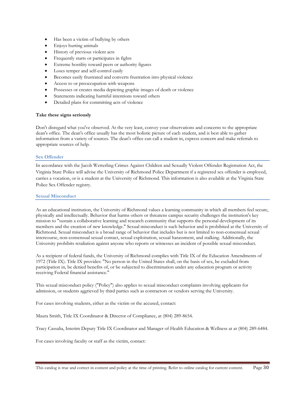- Has been a victim of bullying by others
- Enjoys hurting animals
- History of previous violent acts
- Frequently starts or participates in fights
- Extreme hostility toward peers or authority figures
- Loses temper and self-control easily
- Becomes easily frustrated and converts frustration into physical violence
- Access to or preoccupation with weapons
- Possesses or creates media depicting graphic images of death or violence
- Statements indicating harmful intentions toward others
- Detailed plans for committing acts of violence

#### **Take these signs seriously**

Don't disregard what you've observed. At the very least, convey your observations and concerns to the appropriate dean's office. The dean's office usually has the most holistic picture of each student, and is best able to gather information from a variety of sources. The dean's office can call a student in, express concern and make referrals to appropriate sources of help.

#### **Sex Offender**

In accordance with the Jacob Wetterling Crimes Against Children and Sexually Violent Offender Registration Act, the Virginia State Police will advise the University of Richmond Police Department if a registered sex offender is employed, carries a vocation, or is a student at the University of Richmond. This information is also available at the Virginia State Police Sex Offender registry.

#### **Sexual Misconduct**

As an educational institution, the University of Richmond values a learning community in which all members feel secure, physically and intellectually. Behavior that harms others or threatens campus security challenges the institution's key mission to "sustain a collaborative learning and research community that supports the personal development of its members and the creation of new knowledge." Sexual misconduct is such behavior and is prohibited at the University of Richmond. Sexual misconduct is a broad range of behavior that includes but is not limited to non-consensual sexual intercourse, non-consensual sexual contact, sexual exploitation, sexual harassment, and stalking. Additionally, the University prohibits retaliation against anyone who reports or witnesses an incident of possible sexual misconduct.

As a recipient of federal funds, the University of Richmond complies with Title IX of the Education Amendments of 1972 (Title IX). Title IX provides: "No person in the United States shall, on the basis of sex, be excluded from participation in, be denied benefits of, or be subjected to discrimination under any education program or activity receiving Federal financial assistance."

This sexual misconduct policy ("Policy") also applies to sexual misconduct complaints involving applicants for admission, or students aggrieved by third parties such as contractors or vendors serving the University.

For cases involving students, either as the victim or the accused, contact:

Maura Smith, Title IX Coordinator & Director of Compliance, at (804) 289-8654.

Tracy Cassalia, Interim Deputy Title IX Coordinator and Manager of Health Education & Wellness at at (804) 289-6484.

For cases involving faculty or staff as the victim, contact: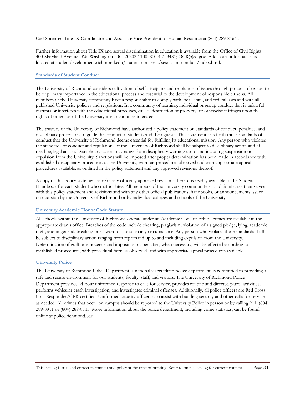Carl Sorensen Title IX Coordinator and Associate Vice President of Human Resource at (804) 289-8166..

Further information about Title IX and sexual discrimination in education is available from the Office of Civil Rights, 400 Maryland Avenue, SW, Washington, DC, 20202-1100; 800-421-3481; OCR@ed.gov. Additional information is located at studentdevelopment.richmond.edu/student-concerns/sexual-misconduct/index.html.

#### **Standards of Student Conduct**

The University of Richmond considers cultivation of self-discipline and resolution of issues through process of reason to be of primary importance in the educational process and essential to the development of responsible citizens. All members of the University community have a responsibility to comply with local, state, and federal laws and with all published University policies and regulations. In a community of learning, individual or group conduct that is unlawful disrupts or interferes with the educational processes, causes destruction of property, or otherwise infringes upon the rights of others or of the University itself cannot be tolerated.

The trustees of the University of Richmond have authorized a policy statement on standards of conduct, penalties, and disciplinary procedures to guide the conduct of students and their guests. This statement sets forth those standards of conduct that the University of Richmond deems essential for fulfilling its educational mission. Any person who violates the standards of conduct and regulations of the University of Richmond shall be subject to disciplinary action and, if need be, legal action. Disciplinary action may range from disciplinary warning up to and including suspension or expulsion from the University. Sanctions will be imposed after proper determination has been made in accordance with established disciplinary procedures of the University, with fair procedures observed and with appropriate appeal procedures available, as outlined in the policy statement and any approved revisions thereof.

A copy of this policy statement and/or any officially approved revisions thereof is readily available in the Student Handbook for each student who matriculates. All members of the University community should familiarize themselves with this policy statement and revisions and with any other official publications, handbooks, or announcements issued on occasion by the University of Richmond or by individual colleges and schools of the University.

#### **University Academic Honor Code Statute**

All schools within the University of Richmond operate under an Academic Code of Ethics; copies are available in the appropriate dean's office. Breaches of the code include cheating, plagiarism, violation of a signed pledge, lying, academic theft, and in general, breaking one's word of honor in any circumstance. Any person who violates these standards shall be subject to disciplinary action ranging from reprimand up to and including expulsion from the University. Determination of guilt or innocence and imposition of penalties, when necessary, will be effected according to established procedures, with procedural fairness observed, and with appropriate appeal procedures available.

#### **University Police**

The University of Richmond Police Department, a nationally accredited police department, is committed to providing a safe and secure environment for our students, faculty, staff, and visitors. The University of Richmond Police Department provides 24-hour uniformed response to calls for service, provides routine and directed patrol activities, performs vehicular crash investigation, and investigates criminal offenses. Additionally, all police officers are Red Cross First Responder/CPR-certified. Uniformed security officers also assist with building security and other calls for service as needed. All crimes that occur on campus should be reported to the University Police in person or by calling 911, (804) 289-8911 or (804) 289-8715. More information about the police department, including crime statistics, can be found online at police.richmond.edu.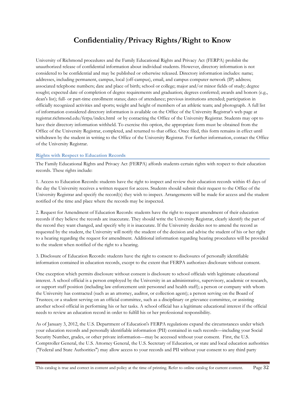# **Confidentiality/Privacy Rights/Right to Know**

University of Richmond procedures and the Family Educational Rights and Privacy Act (FERPA) prohibit the unauthorized release of confidential information about individual students. However, directory information is not considered to be confidential and may be published or otherwise released. Directory information includes: name; addresses, including permanent, campus, local (off-campus), email, and campus computer network (IP) address; associated telephone numbers; date and place of birth; school or college; major and/or minor fields of study; degree sought; expected date of completion of degree requirements and graduation; degrees conferred; awards and honors (e.g., dean's list); full- or part-time enrollment status; dates of attendance; previous institutions attended; participation in officially recognized activities and sports; weight and height of members of an athletic team; and photograph. A full list of information considered directory information is available on the Office of the University Registrar's web page at registrar.richmond.edu/ferpa/index.html or by contacting the Office of the University Registrar. Students may opt to have their directory information withheld. To exercise this option, the appropriate form must be obtained from the Office of the University Registrar, completed, and returned to that office. Once filed, this form remains in effect until withdrawn by the student in writing to the Office of the University Registrar. For further information, contact the Office of the University Registrar.

# **Rights with Respect to Education Records**

The Family Educational Rights and Privacy Act (FERPA) affords students certain rights with respect to their education records. These rights include:

1. Access to Education Records: students have the right to inspect and review their education records within 45 days of the day the University receives a written request for access. Students should submit their request to the Office of the University Registrar and specify the record(s) they wish to inspect. Arrangements will be made for access and the student notified of the time and place where the records may be inspected.

2. Request for Amendment of Education Records: students have the right to request amendment of their education records if they believe the records are inaccurate. They should write the University Registrar, clearly identify the part of the record they want changed, and specify why it is inaccurate. If the University decides not to amend the record as requested by the student, the University will notify the student of the decision and advise the student of his or her right to a hearing regarding the request for amendment. Additional information regarding hearing procedures will be provided to the student when notified of the right to a hearing.

3. Disclosure of Education Records: students have the right to consent to disclosures of personally identifiable information contained in education records, except to the extent that FERPA authorizes disclosure without consent.

One exception which permits disclosure without consent is disclosure to school officials with legitimate educational interest. A school official is a person employed by the University in an administrative, supervisory, academic or research, or support staff position (including law enforcement unit personnel and health staff); a person or company with whom the University has contracted (such as an attorney, auditor, or collection agent); a person serving on the Board of Trustees; or a student serving on an official committee, such as a disciplinary or grievance committee, or assisting another school official in performing his or her tasks. A school official has a legitimate educational interest if the official needs to review an education record in order to fulfill his or her professional responsibility.

As of January 3, 2012, the U.S. Department of Education's FERPA regulations expand the circumstances under which your education records and personally identifiable information (PII) contained in such records—including your Social Security Number, grades, or other private information—may be accessed without your consent. First, the U.S. Comptroller General, the U.S. Attorney General, the U.S. Secretary of Education, or state and local education authorities ("Federal and State Authorities") may allow access to your records and PII without your consent to any third party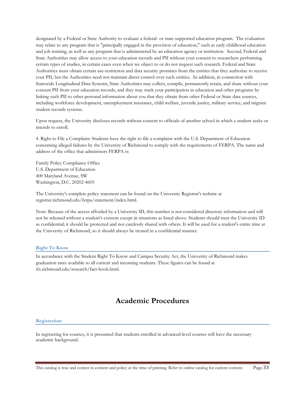designated by a Federal or State Authority to evaluate a federal- or state-supported education program. The evaluation may relate to any program that is "principally engaged in the provision of education," such as early childhood education and job training, as well as any program that is administered by an education agency or institution. Second, Federal and State Authorities may allow access to your education records and PII without your consent to researchers performing certain types of studies, in certain cases even when we object to or do not request such research. Federal and State Authorities must obtain certain use-restriction and data security promises from the entities that they authorize to receive your PII, but the Authorities need not maintain direct control over such entities. In addition, in connection with Statewide Longitudinal Data Systems, State Authorities may collect, compile, permanently retain, and share without your consent PII from your education records, and they may track your participation in education and other programs by linking such PII to other personal information about you that they obtain from other Federal or State data sources, including workforce development, unemployment insurance, child welfare, juvenile justice, military service, and migrant student records systems.

Upon request, the University discloses records without consent to officials of another school in which a student seeks or intends to enroll.

4. Right to File a Complaint: Students have the right to file a complaint with the U.S. Department of Education concerning alleged failures by the University of Richmond to comply with the requirements of FERPA. The name and address of the office that administers FERPA is:

Family Policy Compliance Office U.S. Department of Education 400 Maryland Avenue, SW Washington, D.C. 20202-4605

The University's complete policy statement can be found on the University Registrar's website at registrar.richmond.edu/ferpa/statement/index.html.

Note: Because of the access afforded by a University ID, this number is not considered directory information and will not be released without a student's consent except in situations as listed above. Students should treat the University ID as confidential; it should be protected and not carelessly shared with others. It will be used for a student's entire time at the University of Richmond, so it should always be treated in a confidential manner.

#### **Right To Know**

In accordance with the Student Right To Know and Campus Security Act, the University of Richmond makes graduation rates available to all current and incoming students. These figures can be found at ifx.richmond.edu/research/fact-book.html.

# **Academic Procedures**

#### **Registration**

In registering for courses, it is presumed that students enrolled in advanced-level courses will have the necessary academic background.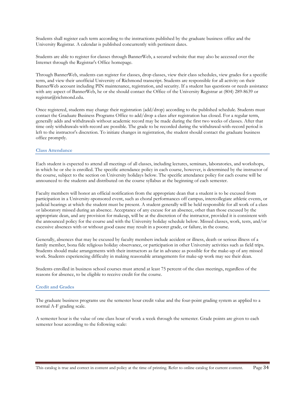Students shall register each term according to the instructions published by the graduate business office and the University Registrar. A calendar is published concurrently with pertinent dates.

Students are able to register for classes through BannerWeb, a secured website that may also be accessed over the Internet through the Registrar's Office homepage.

Through BannerWeb, students can register for classes, drop classes, view their class schedules, view grades for a specific term, and view their unofficial University of Richmond transcript. Students are responsible for all activity on their BannerWeb account including PIN maintenance, registration, and security. If a student has questions or needs assistance with any aspect of BannerWeb, he or she should contact the Office of the University Registrar at (804) 289-8639 or registrar@richmond.edu.

Once registered, students may change their registration (add/drop) according to the published schedule. Students must contact the Graduate Business Programs Office to add/drop a class after registration has closed. For a regular term, generally adds and withdrawals without academic record may be made during the first two weeks of classes. After that time only withdrawals-with-record are possible. The grade to be recorded during the withdrawal-with-record period is left to the instructor's discretion. To initiate changes in registration, the student should contact the graduate business office promptly.

#### **Class Attendance**

Each student is expected to attend all meetings of all classes, including lectures, seminars, laboratories, and workshops, in which he or she is enrolled. The specific attendance policy in each course, however, is determined by the instructor of the course, subject to the section on University holidays below. The specific attendance policy for each course will be announced to the students and distributed on the course syllabus at the beginning of each semester.

Faculty members will honor an official notification from the appropriate dean that a student is to be excused from participation in a University-sponsored event, such as choral performances off campus, intercollegiate athletic events, or judicial hearings at which the student must be present. A student generally will be held responsible for all work of a class or laboratory missed during an absence. Acceptance of any excuse for an absence, other than those excused by the appropriate dean, and any provision for makeup, will be at the discretion of the instructor, provided it is consistent with the announced policy for the course and with the University holiday schedule below. Missed classes, work, tests, and/or excessive absences with or without good cause may result in a poorer grade, or failure, in the course.

Generally, absences that may be excused by faculty members include accident or illness, death or serious illness of a family member, bona fide religious holiday observance, or participation in other University activities such as field trips. Students should make arrangements with their instructors as far in advance as possible for the make-up of any missed work. Students experiencing difficulty in making reasonable arrangements for make-up work may see their dean.

Students enrolled in business school courses must attend at least 75 percent of the class meetings, regardless of the reasons for absence, to be eligible to receive credit for the course.

#### **Credit and Grades**

The graduate business programs use the semester hour credit value and the four-point grading system as applied to a normal A-F grading scale.

A semester hour is the value of one class hour of work a week through the semester. Grade points are given to each semester hour according to the following scale: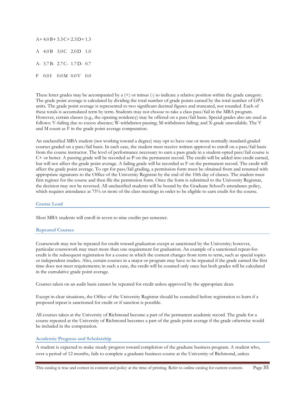$A+4.0 B+3.3 C+2.3 D+1.3$ A 4.0 B 3.0 C 2.0 D 1.0 A- 3.7 B- 2.7 C- 1.7 D- 0.7 F 0.01 0.0M 0.0V 0.0

These letter grades may be accompanied by a  $(+)$  or minus  $(.)$  to indicate a relative position within the grade category. The grade point average is calculated by dividing the total number of grade points earned by the total number of GPA units. The grade point average is represented to two significant decimal figures and truncated, not rounded. Each of these totals is accumulated term by term. Students may not choose to take a class pass/fail in the MBA program. However, certain classes (e.g., the opening residency) may be offered on a pass/fail basis. Special grades also are used as follows: V-failing due to excess absence; W-withdrawn passing; M-withdrawn failing; and X-grade unavailable. The V and M count as F in the grade point average computation.

An unclassified MBA student (not working toward a degree) may opt to have one or more normally standard-graded courses graded on a pass/fail basis. In each case, the student must receive written approval to enroll on a pass/fail basis from the course instructor. The level of performance necessary to earn a pass grade in a student-opted pass/fail course is C+ or better. A passing grade will be recorded as P on the permanent record. The credit will be added into credit earned, but will not affect the grade point average. A failing grade will be recorded as F on the permanent record. The credit will affect the grade point average. To opt for pass/fail grading, a permission form must be obtained from and returned with appropriate signatures to the Office of the University Registrar by the end of the 10th day of classes. The student must first register for the course and then file the permission form. Once the form is submitted to the University Registrar, the decision may not be reversed. All unclassified students will be bound by the Graduate School's attendance policy, which requires attendance at 75% or more of the class meetings in order to be eligible to earn credit for the course.

#### **Course Load**

Most MBA students will enroll in seven to nine credits per semester.

#### **Repeated Courses**

Coursework may not be repeated for credit toward graduation except as sanctioned by the University; however, particular coursework may meet more than one requirement for graduation. An example of a sanctioned repeat-forcredit is the subsequent registration for a course in which the content changes from term to term, such as special topics or independent studies. Also, certain courses in a major or program may have to be repeated if the grade earned the first time does not meet requirements; in such a case, the credit will be counted only once but both grades will be calculated in the cumulative grade point average.

Courses taken on an audit basis cannot be repeated for credit unless approved by the appropriate dean.

Except in clear situations, the Office of the University Registrar should be consulted before registration to learn if a proposed repeat is sanctioned for credit or if sanction is possible.

All courses taken at the University of Richmond become a part of the permanent academic record. The grade for a course repeated at the University of Richmond becomes a part of the grade point average if the grade otherwise would be included in the computation.

#### **Academic Progress and Scholarship**

A student is expected to make steady progress toward completion of the graduate business program. A student who, over a period of 12 months, fails to complete a graduate business course at the University of Richmond, unless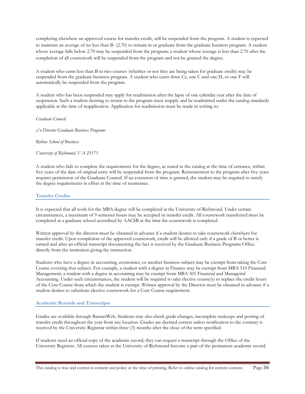completing elsewhere an approved course for transfer credit, will be suspended from the program. A student is expected to maintain an average of no less than B- (2.70) to remain in or graduate from the graduate business program. A student whose average falls below 2.70 may be suspended from the program; a student whose average is less than 2.70 after the completion of all coursework will be suspended from the program and not be granted the degree.

A student who earns less than B in two courses (whether or not they are being taken for graduate credit) may be suspended from the graduate business program. A student who earns three Cs, one C and one D, or one F will automatically be suspended from the program.

A student who has been suspended may apply for readmission after the lapse of one calendar year after the date of suspension. Such a student desiring to return to the program must reapply and be readmitted under the catalog standards applicable at the time of reapplication. Application for readmission must be made in writing to:

*Graduate Council*

*c/o Director Graduate Business Programs*

*Robins School of Business*

*University of Richmond, VA 23173*

A student who fails to complete the requirements for the degree, as stated in the catalog at the time of entrance, within five years of the date of original entry will be suspended from the program. Reinstatement to the program after five years requires permission of the Graduate Council. If an extension of time is granted, the student may be required to satisfy the degree requirements in effect at the time of reentrance.

#### **Transfer Credits**

It is expected that all work for the MBA degree will be completed at the University of Richmond. Under certain circumstances, a maximum of 9 semester hours may be accepted in transfer credit. All coursework transferred must be completed at a graduate school accredited by AACSB at the time the coursework is completed.

Written approval by the director must be obtained in advance if a student desires to take coursework elsewhere for transfer credit. Upon completion of the approved coursework, credit will be allowed only if a grade of B or better is earned and after an official transcript documenting the fact is received by the Graduate Business Programs Office directly from the institution giving the instruction.

Students who have a degree in accounting, economics, or another business subject may be exempt from taking the Core Course covering that subject. For example, a student with a degree in Finance may be exempt from MBA 510 Financial Management; a student with a degree in accounting may be exempt from MBA 501 Financial and Managerial Accounting. Under such circumstances, the student will be required to take elective course(s) to replace the credit hours of the Core Course from which the student is exempt. Written approval by the Director must be obtained in advance if a student desires to substitute elective coursework for a Core Course requirement.

#### **Academic Records and Transcripts**

Grades are available through BannerWeb. Students may also check grade changes, incomplete makeups and posting of transfer credit throughout the year from any location. Grades are deemed correct unless notification to the contrary is received by the University Registrar within three (3) months after the close of the term specified.

If students need an official copy of the academic record, they can request a transcript through the Office of the University Registrar. All courses taken at the University of Richmond become a part of the permanent academic record.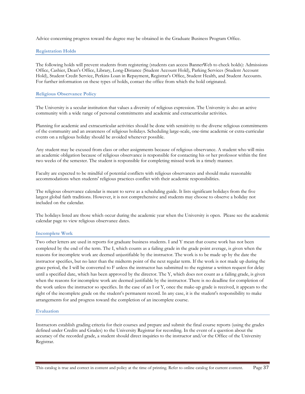Advice concerning progress toward the degree may be obtained in the Graduate Business Program Office.

### **Registration Holds**

The following holds will prevent students from registering (students can access BannerWeb to check holds): Admissions Office, Cashier, Dean's Office, Library, Long-Distance (Student Account Hold), Parking Services (Student Account Hold), Student Credit Service, Perkins Loan in Repayment, Registrar's Office, Student Health, and Student Accounts. For further information on these types of holds, contact the office from which the hold originated.

# **Religious Observance Policy**

The University is a secular institution that values a diversity of religious expression. The University is also an active community with a wide range of personal commitments and academic and extracurricular activities.

Planning for academic and extracurricular activities should be done with sensitivity to the diverse religious commitments of the community and an awareness of religious holidays. Scheduling large-scale, one-time academic or extra-curricular events on a religious holiday should be avoided whenever possible.

Any student may be excused from class or other assignments because of religious observance. A student who will miss an academic obligation because of religious observance is responsible for contacting his or her professor within the first two weeks of the semester. The student is responsible for completing missed work in a timely manner.

Faculty are expected to be mindful of potential conflicts with religious observances and should make reasonable accommodations when students' religious practices conflict with their academic responsibilities.

The religious observance calendar is meant to serve as a scheduling guide. It lists significant holidays from the five largest global faith traditions. However, it is not comprehensive and students may choose to observe a holiday not included on the calendar.

The holidays listed are those which occur during the academic year when the University is open. Please see the academic calendar page to view religious observance dates.

#### **Incomplete Work**

Two other letters are used in reports for graduate business students. I and Y mean that course work has not been completed by the end of the term. The I, which counts as a failing grade in the grade point average, is given when the reasons for incomplete work are deemed unjustifiable by the instructor. The work is to be made up by the date the instructor specifies, but no later than the midterm point of the next regular term. If the work is not made up during the grace period, the I will be converted to F unless the instructor has submitted to the registrar a written request for delay until a specified date, which has been approved by the director. The Y, which does not count as a failing grade, is given when the reasons for incomplete work are deemed justifiable by the instructor. There is no deadline for completion of the work unless the instructor so specifies. In the case of an I or Y, once the make-up grade is received, it appears to the right of the incomplete grade on the student's permanent record. In any case, it is the student's responsibility to make arrangements for and progress toward the completion of an incomplete course.

#### **Evaluation**

Instructors establish grading criteria for their courses and prepare and submit the final course reports (using the grades defined under Credits and Grades) to the University Registrar for recording. In the event of a question about the accuracy of the recorded grade, a student should direct inquiries to the instructor and/or the Office of the University Registrar.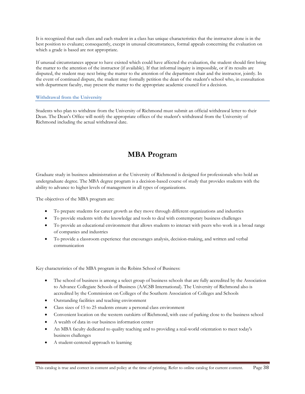It is recognized that each class and each student in a class has unique characteristics that the instructor alone is in the best position to evaluate; consequently, except in unusual circumstances, formal appeals concerning the evaluation on which a grade is based are not appropriate.

If unusual circumstances appear to have existed which could have affected the evaluation, the student should first bring the matter to the attention of the instructor (if available). If that informal inquiry is impossible, or if its results are disputed, the student may next bring the matter to the attention of the department chair and the instructor, jointly. In the event of continued dispute, the student may formally petition the dean of the student's school who, in consultation with department faculty, may present the matter to the appropriate academic council for a decision.

# **Withdrawal from the University**

Students who plan to withdraw from the University of Richmond must submit an official withdrawal letter to their Dean. The Dean's Office will notify the appropriate offices of the student's withdrawal from the University of Richmond including the actual withdrawal date.

# **MBA Program**

Graduate study in business administration at the University of Richmond is designed for professionals who hold an undergraduate degree. The MBA degree program is a decision-based course of study that provides students with the ability to advance to higher levels of management in all types of organizations.

The objectives of the MBA program are:

- To prepare students for career growth as they move through different organizations and industries
- To provide students with the knowledge and tools to deal with contemporary business challenges
- To provide an educational environment that allows students to interact with peers who work in a broad range of companies and industries
- To provide a classroom experience that encourages analysis, decision-making, and written and verbal communication

Key characteristics of the MBA program in the Robins School of Business:

- The school of business is among a select group of business schools that are fully accredited by the Association to Advance Collegiate Schools of Business (AACSB International). The University of Richmond also is accredited by the Commission on Colleges of the Southern Association of Colleges and Schools
- Outstanding facilities and teaching environment
- Class sizes of 15 to 25 students ensure a personal class environment
- Convenient location on the western outskirts of Richmond, with ease of parking close to the business school
- A wealth of data in our business information center
- An MBA faculty dedicated to quality teaching and to providing a real-world orientation to meet today's business challenges
- A student-centered approach to learning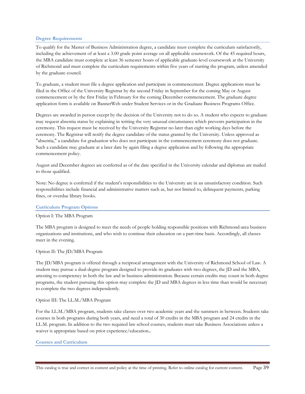# **Degree Requirements**

To qualify for the Master of Business Administration degree, a candidate must complete the curriculum satisfactorily, including the achievement of at least a 3.00 grade point average on all applicable coursework. Of the 45 required hours, the MBA candidate must complete at least 36 semester hours of applicable graduate-level coursework at the University of Richmond and must complete the curriculum requirements within five years of starting the program, unless amended by the graduate council.

To graduate, a student must file a degree application and participate in commencement. Degree applications must be filed in the Office of the University Registrar by the second Friday in September for the coming May or August commencement or by the first Friday in February for the coming December commencement. The graduate degree application form is available on BannerWeb under Student Services or in the Graduate Business Programs Office.

Degrees are awarded in person except by the decision of the University not to do so. A student who expects to graduate may request absentia status by explaining in writing the very unusual circumstance which prevents participation in the ceremony. This request must be received by the University Registrar no later than eight working days before the ceremony. The Registrar will notify the degree candidate of the status granted by the University. Unless approved as "absentia," a candidate for graduation who does not participate in the commencement ceremony does not graduate. Such a candidate may graduate at a later date by again filing a degree application and by following the appropriate commencement policy.

August and December degrees are conferred as of the date specified in the University calendar and diplomas are mailed to those qualified.

Note: No degree is conferred if the student's responsibilities to the University are in an unsatisfactory condition. Such responsibilities include financial and administrative matters such as, but not limited to, delinquent payments, parking fines, or overdue library books.

#### **Curriculum Program Options**

#### Option I: The MBA Program

The MBA program is designed to meet the needs of people holding responsible positions with Richmond-area business organizations and institutions, and who wish to continue their education on a part-time basis. Accordingly, all classes meet in the evening.

Option II: The JD/MBA Program

The JD/MBA program is offered through a reciprocal arrangement with the University of Richmond School of Law. A student may pursue a dual-degree program designed to provide its graduates with two degrees, the JD and the MBA, attesting to competency in both the law and in business administration. Because certain credits may count in both degree programs, the student pursuing this option may complete the JD and MBA degrees in less time than would be necessary to complete the two degrees independently.

#### Option III: The LL.M./MBA Program

For the LL.M./MBA program, students take classes over two academic years and the summers in between. Students take courses in both programs during both years, and need a total of 30 credits in the MBA program and 24 credits in the LL.M. program. In addition to the two required law school courses, students must take Business Associations unless a waiver is appropriate based on prior experience/education.**.** 

#### **Courses and Curriculum**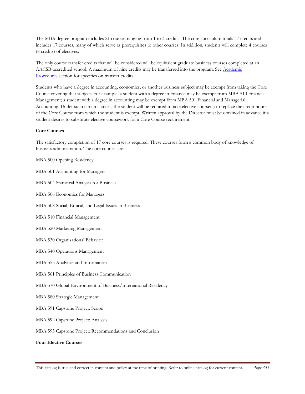The MBA degree program includes 21 courses ranging from 1 to 3 credits. The core curriculum totals 37 credits and includes 17 courses, many of which serve as prerequisites to other courses. In addition, students will complete 4 courses (8 credits) of electives.

The only course transfer credits that will be considered will be equivalent graduate business courses completed at an AACSB-accredited school. A maximum of nine credits may be transferred into the program. See Academic Procedures section for specifics on transfer credits.

Students who have a degree in accounting, economics, or another business subject may be exempt from taking the Core Course covering that subject. For example, a student with a degree in Finance may be exempt from MBA 510 Financial Management; a student with a degree in accounting may be exempt from MBA 501 Financial and Managerial Accounting. Under such circumstances, the student will be required to take elective course(s) to replace the credit hours of the Core Course from which the student is exempt. Written approval by the Director must be obtained in advance if a student desires to substitute elective coursework for a Core Course requirement.

#### **Core Courses**

The satisfactory completion of 17 core courses is required. These courses form a common body of knowledge of business administration. The core courses are:

MBA 500 Opening Residency

MBA 501 Accounting for Managers

- MBA 504 Statistical Analysis for Business
- MBA 506 Economics for Managers
- MBA 508 Social, Ethical, and Legal Issues in Business
- MBA 510 Financial Management
- MBA 520 Marketing Management
- MBA 530 Organizational Behavior
- MBA 540 Operations Management
- MBA 555 Analytics and Information
- MBA 561 Principles of Business Communication
- MBA 570 Global Environment of Business/International Residency
- MBA 580 Strategic Management
- MBA 591 Capstone Project: Scope
- MBA 592 Capstone Project: Analysis

MBA 593 Capstone Project: Recommendations and Conclusion

**Four Elective Courses**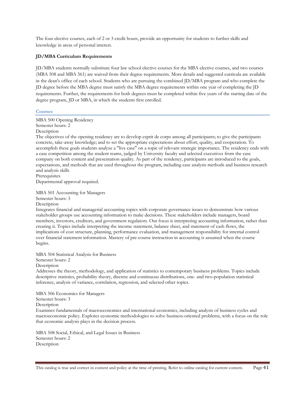The four elective courses, each of 2 or 3 credit hours, provide an opportunity for students to further skills and knowledge in areas of personal interest.

# **JD/MBA Curriculum Requirements**

JD/MBA students normally substitute four law school elective courses for the MBA elective courses, and two courses (MBA 508 and MBA 561) are waived from their degree requirements. More details and suggested curricula are available in the dean's office of each school. Students who are pursuing the combined JD/MBA program and who complete the JD degree before the MBA degree must satisfy the MBA degree requirements within one year of completing the JD requirements. Further, the requirements for both degrees must be completed within five years of the starting date of the degree program, JD or MBA, in which the students first enrolled.

#### **Courses**

MBA 500 Opening Residency Semester hours: 2 Description

The objectives of the opening residency are to develop esprit de corps among all participants; to give the participants concrete, take-away knowledge; and to set the appropriate expectations about effort, quality, and cooperation. To accomplish these goals students analyze a "live case" on a topic of relevant strategic importance. The residency ends with a case competition among the student teams, judged by University faculty and selected executives from the case company on both content and presentation quality. As part of the residency, participants are introduced to the goals, expectations, and methods that are used throughout the program, including case analysis methods and business research and analysis skills

Prerequisites Departmental approval required.

MBA 501 Accounting for Managers Semester hours: 3 Description

Integrates financial and managerial accounting topics with corporate governance issues to demonstrate how various stakeholder groups use accounting information to make decisions. These stakeholders include managers, board members, investors, creditors, and government regulators. Our focus is interpreting accounting information, rather than creating it. Topics include interpreting the income statement, balance sheet, and statement of cash flows, the implications of cost structure, planning, performance evaluation, and management responsibility for internal control over financial statement information. Mastery of pre-course instruction in accounting is assumed when the course begins.

MBA 504 Statistical Analysis for Business

Semester hours: 2

Description

Addresses the theory, methodology, and application of statistics to contemporary business problems. Topics include descriptive statistics, probability theory, discrete and continuous distributions, one- and two-population statistical inference, analysis of variance, correlation, regression, and selected other topics.

MBA 506 Economics for Managers

Semester hours: 3

**Description** 

Examines fundamentals of macroeconomics and international economics, including analysis of business cycles and macroeconomic policy. Explores economic methodologies to solve business-oriented problems, with a focus on the role that economic analysis plays in the decision process.

MBA 508 Social, Ethical, and Legal Issues in Business Semester hours: 2 Description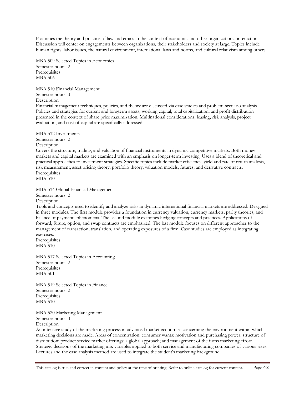Examines the theory and practice of law and ethics in the context of economic and other organizational interactions. Discussion will center on engagements between organizations, their stakeholders and society at large. Topics include human rights, labor issues, the natural environment, international laws and norms, and cultural relativism among others.

MBA 509 Selected Topics in Economics Semester hours: 2 **Prerequisites** MBA 506

MBA 510 Financial Management Semester hours: 3 **Description** 

Financial management techniques, policies, and theory are discussed via case studies and problem-scenario analysis. Policies and strategies for current and longterm assets, working capital, total capitalization, and profit distribution presented in the context of share price maximization. Multinational considerations, leasing, risk analysis, project evaluation, and cost of capital are specifically addressed.

MBA 512 Investments Semester hours: 2 Description Covers the structure, trading, and valuation of financial instruments in dynamic competitive markets. Both money markets and capital markets are examined with an emphasis on longer-term investing. Uses a blend of theoretical and practical approaches to investment strategies. Specific topics include market efficiency, yield and rate of return analysis, risk measurement, asset pricing theory, portfolio theory, valuation models, futures, and derivative contracts. Prerequisites MBA 510

MBA 514 Global Financial Management

Semester hours: 2 Description

Tools and concepts used to identify and analyze risks in dynamic international financial markets are addressed. Designed in three modules. The first module provides a foundation in currency valuation, currency markets, parity theories, and balance of payments phenomena. The second module examines hedging concepts and practices. Applications of forward, future, option, and swap contracts are emphasized. The last module focuses on different approaches to the management of transaction, translation, and operating exposures of a firm. Case studies are employed as integrating exercises.

Prerequisites MBA 510

MBA 517 Selected Topics in Accounting Semester hours: 2 Prerequisites MBA 501

MBA 519 Selected Topics in Finance Semester hours: 2 Prerequisites MBA 510

MBA 520 Marketing Management Semester hours: 3 **Description** 

An intensive study of the marketing process in advanced market economies concerning the environment within which marketing decisions are made. Areas of concentration: consumer wants; motivation and purchasing power; structure of distribution; product service market offerings; a global approach; and management of the firms marketing effort. Strategic decisions of the marketing mix variables applied to both service and manufacturing companies of various sizes. Lectures and the case analysis method are used to integrate the student's marketing background.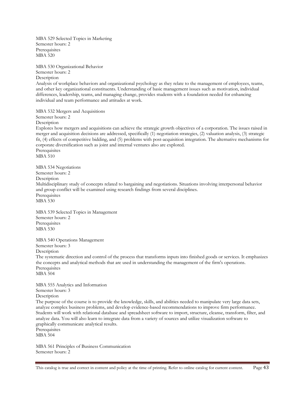MBA 529 Selected Topics in Marketing Semester hours: 2 Prerequisites MBA 520

MBA 530 Organizational Behavior Semester hours: 2 **Description** 

Analysis of workplace behaviors and organizational psychology as they relate to the management of employees, teams, and other key organizational constituents. Understanding of basic management issues such as motivation, individual differences, leadership, teams, and managing change, provides students with a foundation needed for enhancing individual and team performance and attitudes at work.

MBA 532 Mergers and Acquisitions

Semester hours: 2

Description

Explores how mergers and acquisitions can achieve the strategic growth objectives of a corporation. The issues raised in merger and acquisition decisions are addressed, specifically (1) negotiation strategies, (2) valuation analysis, (3) strategic fit, (4) effects of competitive bidding, and (5) problems with post-acquisition integration. The alternative mechanisms for corporate diversification such as joint and internal ventures also are explored.

Prerequisites MBA 510

MBA 534 Negotiations Semester hours: 2 Description Multidisciplinary study of concepts related to bargaining and negotiations. Situations involving interpersonal behavior and group conflict will be examined using research findings from several disciplines. **Prerequisites** MBA 530

MBA 539 Selected Topics in Management Semester hours: 2 Prerequisites MBA 530

MBA 540 Operations Management Semester hours: 3

Description

The systematic direction and control of the process that transforms inputs into finished goods or services. It emphasizes the concepts and analytical methods that are used in understanding the management of the firm's operations. Prerequisites MBA 504

MBA 555 Analytics and Information Semester hours: 3 Description The purpose of the course is to provide the knowledge, skills, and abilities needed to manipulate very large data sets,

analyze complex business problems, and develop evidence-based recommendations to improve firm performance. Students will work with relational database and spreadsheet software to import, structure, cleanse, transform, filter, and analyze data. You will also learn to integrate data from a variety of sources and utilize visualization software to graphically communicate analytical results. Prerequisites

MBA 504

MBA 561 Principles of Business Communication Semester hours: 2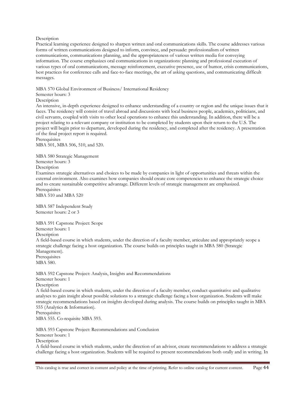#### Description

Practical learning experience designed to sharpen written and oral communications skills. The course addresses various forms of written communications designed to inform, convince, and persuade: professionalism of written communications, communications planning, and the appropriateness of various written media for conveying information. The course emphasizes oral communications in organizations: planning and professional execution of various types of oral communications, message reinforcement, executive presence, use of humor, crisis communications, best practices for conference calls and face-to-face meetings, the art of asking questions, and communicating difficult messages.

# MBA 570 Global Environment of Business/ International Residency

#### Semester hours: 3

Description

An intensive, in-depth experience designed to enhance understanding of a country or region and the unique issues that it faces. The residency will consist of travel abroad and discussions with local business people, academics, politicians, and civil servants, coupled with visits to other local operations to enhance this understanding. In addition, there will be a project relating to a relevant company or institution to be completed by students upon their return to the U.S. The project will begin prior to departure, developed during the residency, and completed after the residency. A presentation of the final project report is required.

Prerequisites MBA 501, MBA 506, 510, and 520.

MBA 580 Strategic Management Semester hours: 3

Description

Examines strategic alternatives and choices to be made by companies in light of opportunities and threats within the external environment. Also examines how companies should create core competencies to enhance the strategic choice and to create sustainable competitive advantage. Different levels of strategic management are emphasized. **Prerequisites** 

MBA 510 and MBA 520

MBA 587 Independent Study Semester hours: 2 or 3

MBA 591 Capstone Project: Scope Semester hours: 1 Description A field-based course in which students, under the direction of a faculty member, articulate and appropriately scope a strategic challenge facing a host organization. The course builds on principles taught in MBA 580 (Strategic Management). Prerequisites MBA 580.

MBA 592 Capstone Project: Analysis, Insights and Recommendations Semester hours: 1 Description A field-based course in which students, under the direction of a faculty member, conduct quantitative and qualitative

analyses to gain insight about possible solutions to a strategic challenge facing a host organization. Students will make strategic recommendations based on insights developed during analysis. The course builds on principles taught in MBA 555 (Analytics & Information).

Prerequisites MBA 555. Co-requisite MBA 593.

MBA 593 Capstone Project: Recommendations and Conclusion Semester hours: 1 Description

A field-based course in which students, under the direction of an advisor, create recommendations to address a strategic challenge facing a host organization. Students will be required to present recommendations both orally and in writing. In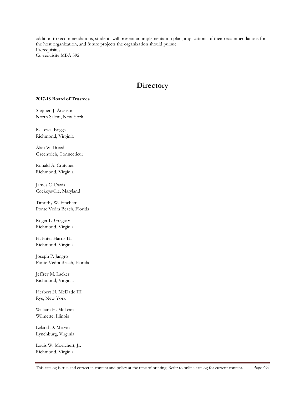addition to recommendations, students will present an implementation plan, implications of their recommendations for the host organization, and future projects the organization should pursue. Prerequisites Co-requisite MBA 592.

# **Directory**

#### **2017-18 Board of Trustees**

Stephen J. Aronson North Salem, New York

R. Lewis Boggs Richmond, Virginia

Alan W. Breed Greenwich, Connecticut

Ronald A. Crutcher Richmond, Virginia

James C. Davis Cockeysville, Maryland

Timothy W. Finchem Ponte Vedra Beach, Florida

Roger L. Gregory Richmond, Virginia

H. Hiter Harris III Richmond, Virginia

Joseph P. Jangro Ponte Vedra Beach, Florida

Jeffrey M. Lacker Richmond, Virginia

Herbert H. McDade III Rye, New York

William H. McLean Wilmette, Illinois

Leland D. Melvin Lynchburg, Virginia

Louis W. Moelchert, Jr. Richmond, Virginia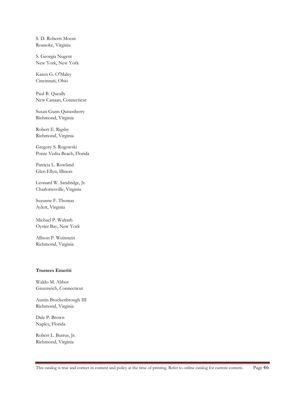S. D. Roberts Moore Roanoke, Virginia

S. Georgia Nugent New York, New York

Karen G. O'Maley Cincinnati, Ohio

Paul B. Queally New Canaan, Connecticut

Susan Gunn Quisenberry Richmond, Virginia

Robert E. Rigsby Richmond, Virginia

Gregory S. Rogowski Ponte Vedra Beach, Florida

Patricia L. Rowland Glen Ellyn, Illinois

Leonard W. Sandridge, Jr. Charlottesville, Virginia

Suzanne F. Thomas Aylett, Virginia

Michael P. Walrath Oyster Bay, New York

Allison P. Weinstein Richmond, Virginia

# **Trustees Emeriti**

Waldo M. Abbot Greenwich, Connecticut

Austin Brockenbrough III Richmond, Virginia

Dale P. Brown Naples, Florida

Robert L. Burrus, Jr. Richmond, Virginia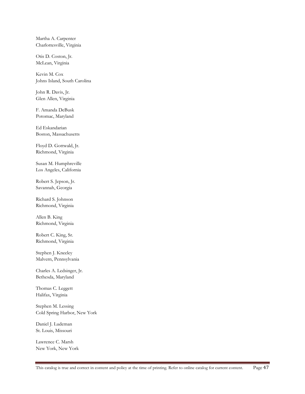Martha A. Carpenter Charlottesville, Virginia

Otis D. Coston, Jr. McLean, Virginia

Kevin M. Cox Johns Island, South Carolina

John R. Davis, Jr. Glen Allen, Virginia

F. Amanda DeBusk Potomac, Maryland

Ed Eskandarian Boston, Massachusetts

Floyd D. Gottwald, Jr. Richmond, Virginia

Susan M. Humphreville Los Angeles, California

Robert S. Jepson, Jr. Savannah, Georgia

Richard S. Johnson Richmond, Virginia

Allen B. King Richmond, Virginia

Robert C. King, Sr. Richmond, Virginia

Stephen J. Kneeley Malvern, Pennsylvania

Charles A. Ledsinger, Jr. Bethesda, Maryland

Thomas C. Leggett Halifax, Virginia

Stephen M. Lessing Cold Spring Harbor, New York

Daniel J. Ludeman St. Louis, Missouri

Lawrence C. Marsh New York, New York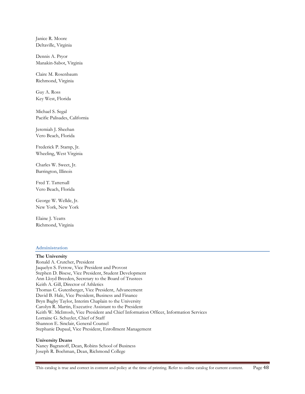Janice R. Moore Deltaville, Virginia

Dennis A. Pryor Manakin-Sabot, Virginia

Claire M. Rosenbaum Richmond, Virginia

Guy A. Ross Key West, Florida

Michael S. Segal Pacific Palisades, California

Jeremiah J. Sheehan Vero Beach, Florida

Frederick P. Stamp, Jr. Wheeling, West Virginia

Charles W. Sweet, Jr. Barrington, Illinois

Fred T. Tattersall Vero Beach, Florida

George W. Wellde, Jr. New York, New York

Elaine J. Yeatts Richmond, Virginia

# **Administration The University**  Ronald A. Crutcher, President Jaquelyn S. Fetrow, Vice President and Provost Stephen D. Bisese, Vice President, Student Development Ann Lloyd Breeden, Secretary to the Board of Trustees Keith A. Gill, Director of Athletics Thomas C. Gutenberger, Vice President, Advancement David B. Hale, Vice President, Business and Finance Bryn Bagby Taylor, Interim Chaplain to the University Carolyn R. Martin, Executive Assistant to the President Keith W. McIntosh, Vice President and Chief Information Officer, Information Services Lorraine G. Schuyler, Chief of Staff Shannon E. Sinclair, General Counsel Stephanie Dupaul, Vice President, Enrollment Management

# **University Deans**

Nancy Bagranoff, Dean, Robins School of Business Joseph R. Boehman, Dean, Richmond College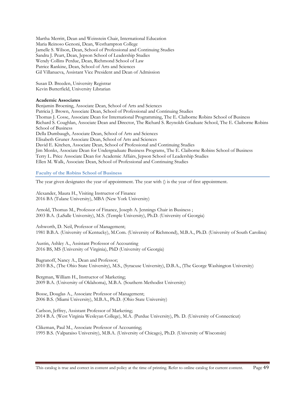Martha Merritt, Dean and Weinstein Chair, International Education Maria Reinoso Genoni, Dean, Westhampton College Jamelle S. Wilson, Dean, School of Professional and Continuing Studies Sandra J. Peart, Dean, Jepson School of Leadership Studies Wendy Collins Perdue, Dean, Richmond School of Law Patrice Rankine, Dean, School of Arts and Sciences Gil Villanueva, Assistant Vice President and Dean of Admission

Susan D. Breeden, University Registrar Kevin Butterfield, University Librarian

#### **Academic Associates**

Benjamin Broening, Associate Dean, School of Arts and Sciences Patricia J. Brown, Associate Dean, School of Professional and Continuing Studies Thomas J. Cosse, Associate Dean for International Programming, The E. Claiborne Robins School of Business Richard S. Coughlan, Associate Dean and Director, The Richard S. Reynolds Graduate School, The E. Claiborne Robins School of Business Della Dumbaugh, Associate Dean, School of Arts and Sciences Elisabeth Gruner Associate Dean, School of Arts and Sciences David E. Kitchen, Associate Dean, School of Professional and Continuing Studies Jim Monks, Associate Dean for Undergraduate Business Programs, The E. Claiborne Robins School of Business Terry L. Price Associate Dean for Academic Affairs, Jepson School of Leadership Studies Ellen M. Walk, Associate Dean, School of Professional and Continuing Studies

#### **Faculty of the Robins School of Business**

The year given designates the year of appointment. The year with () is the year of first appointment.

Alexander, Maura H., Visiting Instructor of Finance 2016 BA (Tulane University), MBA (New York University)

Arnold, Thomas M., Professor of Finance, Joseph A. Jennings Chair in Business ; 2003 B.A. (LaSalle University), M.S. (Temple University), Ph.D. (University of Georgia)

Ashworth, D. Neil, Professor of Management; 1981 B.B.A. (University of Kentucky), M.Com. (University of Richmond), M.B.A., Ph.D. (University of South Carolina)

Austin, Ashley A., Assistant Professor of Accounting 2016 BS, MS (University of Virginia), PhD (University of Georgia)

Bagranoff, Nancy A., Dean and Professor; 2010 B.S., (The Ohio State University), M.S., (Syracuse University), D.B.A., (The George Washington University)

Bergman, William H., Instructor of Marketing; 2009 B.A. (University of Oklahoma), M.B.A. (Southern Methodist University)

Bosse, Douglas A., Associate Professor of Management; 2006 B.S. (Miami University), M.B.A., Ph.D. (Ohio State University)

Carlson, Jeffrey, Assistant Professor of Marketing; 2014 B.A. (West Virginia Wesleyan College), M.A. (Purdue University), Ph. D. (University of Connecticut)

Clikeman, Paul M., Associate Professor of Accounting; 1995 B.S. (Valparaiso University), M.B.A. (University of Chicago), Ph.D. (University of Wisconsin)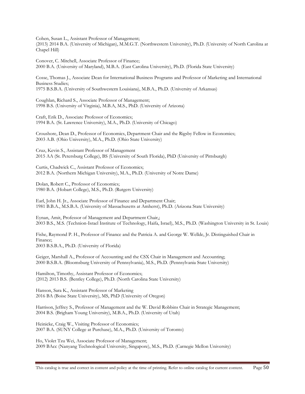Cohen, Susan L., Assistant Professor of Management;

(2013) 2014 B.A. (University of Michigan), M.M.G.T. (Northwestern University), Ph.D. (University of North Carolina at Chapel Hill)

Conover, C. Mitchell, Associate Professor of Finance; 2000 B.A. (University of Maryland), M.B.A. (East Carolina University), Ph.D. (Florida State University)

Cosse, Thomas J., Associate Dean for International Business Programs and Professor of Marketing and International Business Studies; 1975 B.S.B.A. (University of Southwestern Louisiana), M.B.A., Ph.D. (University of Arkansas)

Coughlan, Richard S., Associate Professor of Management; 1998 B.S. (University of Virginia), M.B.A, M.S., PhD. (University of Arizona)

Craft, Erik D., Associate Professor of Economics; 1994 B.A. (St. Lawrence University), M.A., Ph.D. (University of Chicago)

Croushore, Dean D., Professor of Economics, Department Chair and the Rigsby Fellow in Economics; 2003 A.B. (Ohio University), M.A., Ph.D. (Ohio State University)

Cruz, Kevin S., Assistant Professor of Management 2015 AA (St. Petersburg College), BS (University of South Florida), PhD (University of Pittsburgh)

Curtis, Chadwick C., Assistant Professor of Economics; 2012 B.A. (Northern Michigan University), M.A., Ph.D. (University of Notre Dame)

Dolan, Robert C., Professor of Economics; 1980 B.A. (Hobart College), M.S., Ph.D. (Rutgers University)

Earl, John H. Jr., Associate Professor of Finance and Department Chair; 1981 B.B.A., M.S.B.A. (University of Massachusetts at Amherst), Ph.D. (Arizona State University)

Eynan, Amit, Professor of Management and Department Chair,; 2003 B.S., M.S. (Technion-Israel Institute of Technology, Haifa, Israel), M.S., Ph.D. (Washington University in St. Louis)

Fishe, Raymond P. H., Professor of Finance and the Patricia A. and George W. Wellde, Jr. Distinguished Chair in Finance; 2003 B.S.B.A., Ph.D. (University of Florida)

Geiger, Marshall A., Professor of Accounting and the CSX Chair in Management and Accounting; 2000 B.S.B.A. (Bloomsburg University of Pennsylvania), M.S., Ph.D. (Pennsylvania State University)

Hamilton, Timothy, Assistant Professor of Economics; (2012) 2013 B.S. (Bentley College), Ph.D. (North Carolina State University)

Hanson, Sara K., Assistant Professor of Marketing 2016 BA (Boise State University), MS, PhD (University of Oregon)

Harrison, Jeffrey S., Professor of Management and the W. David Robbins Chair in Strategic Management; 2004 B.S. (Brigham Young University), M.B.A., Ph.D. (University of Utah)

Heinicke, Craig W., Visiting Professor of Economics; 2007 B.A. (SUNY College at Purchase), M.A., Ph.D. (University of Toronto)

Ho, Violet Tzu Wei, Associate Professor of Management; 2009 BAcc (Nanyang Technological University, Singapore), M.S., Ph.D. (Carnegie Mellon University)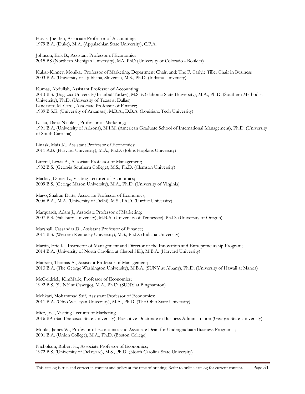Hoyle, Joe Ben, Associate Professor of Accounting; 1979 B.A. (Duke), M.A. (Appalachian State University), C.P.A.

Johnson, Erik B., Assistant Professor of Economics 2015 BS (Northern Michigan University), MA, PhD (University of Colorado - Boulder)

Kukar-Kinney, Monika, Professor of Marketing, Department Chair, and; The F. Carlyle Tiller Chair in Business 2003 B.A. (University of Ljubljana, Slovenia), M.S., Ph.D. (Indiana University)

Kumas, Abdullah, Assistant Professor of Accounting; 2013 B.S. (Bogazici University/Istanbul Turkey), M.S. (Oklahoma State University), M.A., Ph.D. (Southern Methodist University), Ph.D. (University of Texas at Dallas) Lancaster, M. Carol, Associate Professor of Finance; 1989 B.S.E. (University of Arkansas), M.B.A., D.B.A. (Louisiana Tech University)

Lascu, Dana-Nicoleta, Professor of Marketing; 1991 B.A. (University of Arizona), M.I.M. (American Graduate School of International Management), Ph.D. (University of South Carolina)

Linask, Maia K., Assistant Professor of Economics; 2011 A.B. (Harvard University), M.A., Ph.D. (Johns Hopkins University)

Litteral, Lewis A., Associate Professor of Management; 1982 B.S. (Georgia Southern College), M.S., Ph.D. (Clemson University)

Mackay, Daniel L., Visiting Lecturer of Economics; 2009 B.S. (George Mason University), M.A., Ph.D. (University of Virginia)

Mago, Shakun Datta, Associate Professor of Economics; 2006 B.A., M.A. (University of Delhi), M.S., Ph.D. (Purdue University)

Marquardt, Adam J., Associate Professor of Marketing; 2007 B.S. (Salisbury University), M.B.A. (University of Tennessee), Ph.D. (University of Oregon)

Marshall, Cassandra D., Assistant Professor of Finance; 2011 B.S. (Western Kentucky University), M.S., Ph.D. (Indiana University)

Martin, Eric K., Instructor of Management and Director of the Innovation and Entrepreneurship Program; 2014 B.A. (University of North Carolina at Chapel Hill), M.B.A. (Harvard University)

Mattson, Thomas A., Assistant Professor of Management; 2013 B.A. (The George Washington University), M.B.A. (SUNY at Albany), Ph.D. (University of Hawaii at Manoa)

McGoldrick, KimMarie, Professor of Economics; 1992 B.S. (SUNY at Oswego), M.A., Ph.D. (SUNY at Binghamton)

Mehkari, Mohammad Saif, Assistant Professor of Economics; 2011 B.A. (Ohio Wesleyan University), M.A., Ph.D. (The Ohio State University)

Mier, Joel, Visiting Lecturer of Marketing 2016 BA (San Francisco State University), Executive Doctorate in Business Administration (Georgia State University)

Monks, James W., Professor of Economics and Associate Dean for Undergraduate Business Programs ; 2001 B.A. (Union College), M.A., Ph.D. (Boston College)

Nicholson, Robert H., Associate Professor of Economics; 1972 B.S. (University of Delaware), M.S., Ph.D. (North Carolina State University)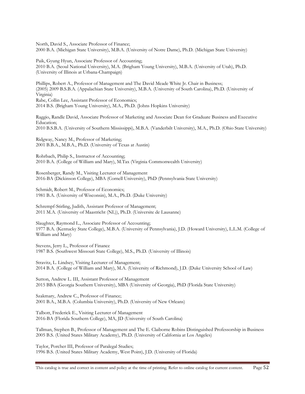North, David S., Associate Professor of Finance; 2000 B.A. (Michigan State University), M.B.A. (University of Notre Dame), Ph.D. (Michigan State University)

Paik, Gyung Hyun, Associate Professor of Accounting; 2010 B.A. (Seoul National University), M.A. (Brigham Young University), M.B.A. (University of Utah), Ph.D. (University of Illinois at Urbana-Champaign)

Phillips, Robert A., Professor of Management and The David Meade White Jr. Chair in Business; (2005) 2009 B.S.B.A. (Appalachian State University), M.B.A. (University of South Carolina), Ph.D. (University of Virginia) Rabe, Collin Lee, Assistant Professor of Economics; 2014 B.S. (Brigham Young University), M.A., Ph.D. (Johns Hopkins University)

Raggio, Randle David, Associate Professor of Marketing and Associate Dean for Graduate Business and Executive Education; 2010 B.S.B.A. (University of Southern Mississippi), M.B.A. (Vanderbilt University), M.A., Ph.D. (Ohio State University)

Ridgway, Nancy M., Professor of Marketing; 2001 B.B.A., M.B.A., Ph.D. (University of Texas at Austin)

Rohrbach, Philip S., Instructor of Accounting; 2010 B.A. (College of William and Mary), M.Tax (Virginia Commonwealth University)

Rosenberger, Randy M., Visiting Lecturer of Management 2016-BA (Dickinson College), MBA (Cornell University), PhD (Pennsylvania State University)

Schmidt, Robert M., Professor of Economics; 1981 B.A. (University of Wisconsin), M.A., Ph.D. (Duke University)

Schrempf-Stirling, Judith, Assistant Professor of Management; 2011 M.A. (University of Maastricht (NL)), Ph.D. (Universite de Lausanne)

Slaughter, Raymond L., Associate Professor of Accounting; 1977 B.A. (Kentucky State College), M.B.A. (University of Pennsylvania), J.D. (Howard University), L.L.M. (College of William and Mary)

Stevens, Jerry L., Professor of Finance 1987 B.S. (Southwest Missouri State College), M.S., Ph.D. (University of Illinois)

Stravitz, L. Lindsey, Visiting Lecturer of Management; 2014 B.A. (College of William and Mary), M.A. (University of Richmond), J.D. (Duke University School of Law)

Sutton, Andrew L. III, Assistant Professor of Management 2015 BBA (Georgia Southern University), MBA (University of Georgia), PhD (Florida State University)

Szakmary, Andrew C., Professor of Finance; 2001 B.A., M.B.A. (Columbia University), Ph.D. (University of New Orleans)

Talbott, Frederick E., Visiting Lecturer of Management 2016-BA (Florida Southern College), MA, JD (University of South Carolina)

Tallman, Stephen B., Professor of Management and The E. Claiborne Robins Distinguished Professorship in Business 2005 B.S. (United States Military Academy), Ph.D. (University of California at Los Angeles)

Taylor, Porcher III, Professor of Paralegal Studies; 1996 B.S. (United States Military Academy, West Point), J.D. (University of Florida)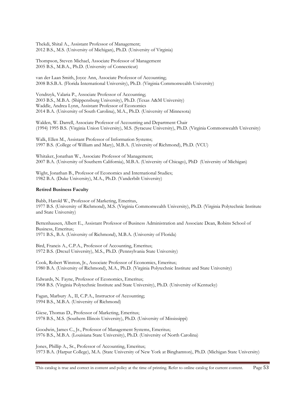Thekdi, Shital A., Assistant Professor of Management; 2012 B.S., M.S. (University of Michigan), Ph.D. (University of Virginia)

Thompson, Steven Michael, Associate Professor of Management 2005 B.S., M.B.A., Ph.D. (University of Connecticut)

van der Laan Smith, Joyce Ann, Associate Professor of Accounting; 2008 B.S.B.A. (Florida International University), Ph.D. (Virginia Commonwealth University)

Vendrzyk, Valaria P., Associate Professor of Accounting; 2003 B.S., M.B.A. (Shippensburg University), Ph.D. (Texas A&M University) Waddle, Andrea Lynn, Assistant Professor of Economics 2014 B.A. (University of South Carolina), M.A., Ph.D. (University of Minnesota)

Walden, W. Darrell, Associate Professor of Accounting and Department Chair (1994) 1995 B.S. (Virginia Union University), M.S. (Syracuse University), Ph.D. (Virginia Commonwealth University)

Walk, Ellen M., Assistant Professor of Information Systems; 1997 B.S. (College of William and Mary), M.B.A. (University of Richmond), Ph.D. (VCU)

Whitaker, Jonathan W., Associate Professor of Management; 2007 B.A. (University of Southern California), M.B.A. (University of Chicago), PhD (University of Michigan)

Wight, Jonathan B., Professor of Economics and International Studies; 1982 B.A. (Duke University), M.A., Ph.D. (Vanderbilt University)

#### **Retired Business Faculty**

Babb, Harold W., Professor of Marketing, Emeritus, 1977 B.S. (University of Richmond), M.S. (Virginia Commonwealth University), Ph.D. (Virginia Polytechnic Institute and State University)

Bettenhausen, Albert E., Assistant Professor of Business Administration and Associate Dean, Robins School of Business, Emeritus; 1971 B.S., B.A. (University of Richmond), M.B.A. (University of Florida)

Bird, Francis A., C.P.A., Professor of Accounting, Emeritus; 1972 B.S. (Drexel University), M.S., Ph.D. (Pennsylvania State University)

Cook, Robert Winston, Jr., Associate Professor of Economics, Emeritus; 1980 B.A. (University of Richmond), M.A., Ph.D. (Virginia Polytechnic Institute and State University)

Edwards, N. Fayne, Professor of Economics, Emeritus; 1968 B.S. (Virginia Polytechnic Institute and State University), Ph.D. (University of Kentucky)

Fagan, Marbury A., II, C.P.A., Instructor of Accounting; 1994 B.S., M.B.A. (University of Richmond)

Giese, Thomas D., Professor of Marketing, Emeritus; 1978 B.S., M.S. (Southern Illinois University), Ph.D. (University of Mississippi)

Goodwin, James C., Jr., Professor of Management Systems, Emeritus; 1976 B.S., M.B.A. (Louisiana State University), Ph.D. (University of North Carolina)

Jones, Phillip A., Sr., Professor of Accounting, Emeritus; 1973 B.A. (Harpur College), M.A. (State University of New York at Binghamton), Ph.D. (Michigan State University)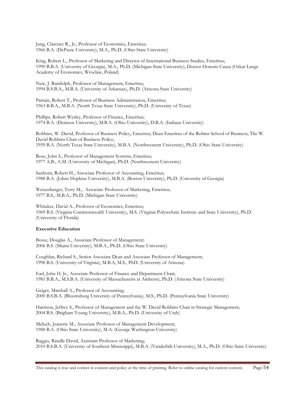Jung, Clarence R., Jr., Professor of Economics, Emeritus; 1966 B.A. (DePauw University), M.A., Ph.D. (Ohio State University)

King, Robert L., Professor of Marketing and Director of International Business Studies, Emeritus; 1990 B.B.A. (University of Georgia), M.A., Ph.D. (Michigan State University), Doctor Honoris Causa (Oskar Lange Academy of Economics, Wroclaw, Poland)

New, J. Randolph, Professor of Management, Emeritus; 1994 B.S.B.A., M.B.A. (University of Arkansas), Ph.D. (Arizona State University)

Partain, Robert T., Professor of Business Administration, Emeritus; 1963 B.B.A., M.B.A. (North Texas State University), Ph.D. (University of Texas)

Phillips, Robert Wesley, Professor of Finance, Emeritus; 1974 B.A. (Denison University), M.B.A. (Ohio University), D.B.A. (Indiana University)

Robbins, W. David, Professor of Business Policy, Emeritus; Dean Emeritus of the Robins School of Business; The W. David Robbins Chair of Business Policy; 1959 B.A. (North Texas State University), M.B.A. (Northwestern University), Ph.D. (Ohio State University)

Rose, John S., Professor of Management Systems, Emeritus; 1977 A.B., A.M. (University of Michigan), Ph.D. (Northwestern University)

Sanborn, Robert H., Associate Professor of Accounting, Emeritus; 1988 B.A. (Johns Hopkins University), M.B.A. (Boston University), Ph.D. (University of Georgia)

Weisenberger, Terry M., Associate Professor of Marketing, Emeritus; 1977 B.S., M.B.A., Ph.D. (Michigan State University)

Whitaker, David A., Professor of Economics, Emeritus; 1969 B.S. (Virginia Commonwealth University), M.S. (Virginia Polytechnic Institute and State University), Ph.D. (University of Florida)

#### **Executive Education**

Bosse, Douglas A., Associate Professor of Management; 2006 B.S. (Miami University), M.B.A., Ph.D. (Ohio State University)

Coughlan, Richard S., Senior Associate Dean and Associate Professor of Management; 1998 B.S. (University of Virginia), M.B.A, M.S., PhD. (University of Arizona)

Earl, John H. Jr., Associate Professor of Finance and Department Chair; 1981 B.B.A., M.S.B.A. (University of Massachusetts at Amherst), Ph.D. (Arizona State University)

Geiger, Marshall A., Professor of Accounting; 2000 B.S.B.A. (Bloomsburg University of Pennsylvania), M.S., Ph.D. (Pennsylvania State University)

Harrison, Jeffrey S., Professor of Management and the W. David Robbins Chair in Strategic Management; 2004 B.S. (Brigham Young University), M.B.A., Ph.D. (University of Utah)

Meluch, Jeanette M., Associate Professor of Management Development; 1988 B.A. (Ohio State University), M.A. (George Washington University)

Raggio, Randle David, Assistant Professor of Marketing; 2010 B.S.B.A. (University of Southern Mississippi), M.B.A. (Vanderbilt University), M.A., Ph.D. (Ohio State University)